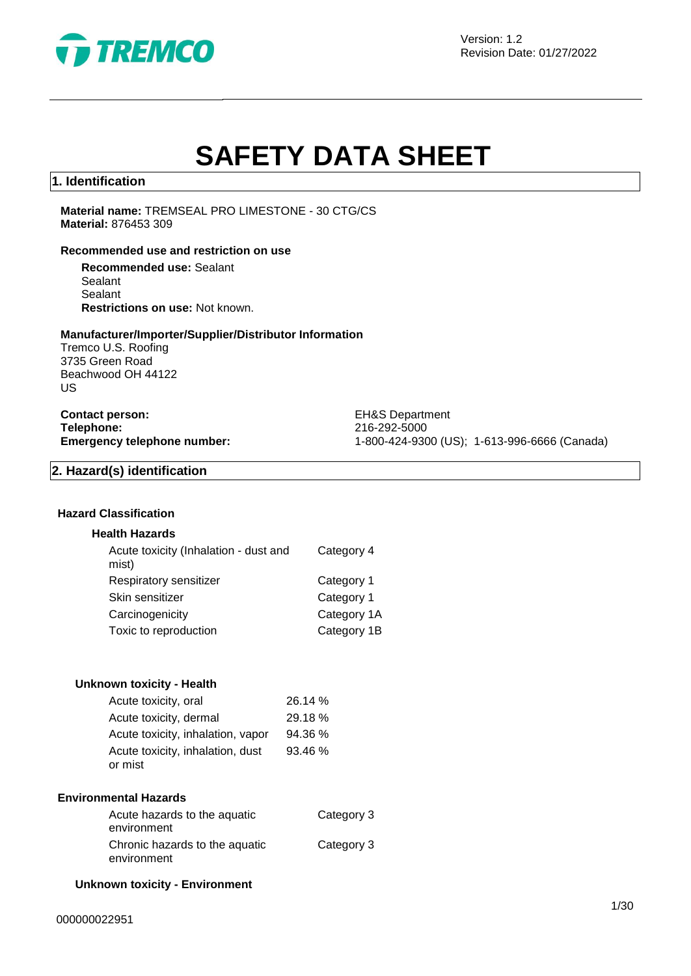

# **SAFETY DATA SHEET**

## **1. Identification**

**Material name:** TREMSEAL PRO LIMESTONE - 30 CTG/CS **Material:** 876453 309

#### **Recommended use and restriction on use**

**Recommended use:** Sealant Sealant Sealant **Restrictions on use:** Not known.

#### **Manufacturer/Importer/Supplier/Distributor Information**

Tremco U.S. Roofing 3735 Green Road Beachwood OH 44122 US

**Contact person:** EH&S Department **Telephone:** 216-292-5000<br> **Emergency telephone number:** 216-292-5000<br>
21-800-424-930

**Emergency telephone number:** 1-800-424-9300 (US); 1-613-996-6666 (Canada)

# **2. Hazard(s) identification**

## **Hazard Classification**

#### **Health Hazards**

| Acute toxicity (Inhalation - dust and<br>mist) | Category 4  |
|------------------------------------------------|-------------|
| Respiratory sensitizer                         | Category 1  |
| Skin sensitizer                                | Category 1  |
| Carcinogenicity                                | Category 1A |
| Toxic to reproduction                          | Category 1B |
|                                                |             |

#### **Unknown toxicity - Health**

| Acute toxicity, oral              | 26.14 % |
|-----------------------------------|---------|
| Acute toxicity, dermal            | 29.18 % |
| Acute toxicity, inhalation, vapor | 94.36 % |
| Acute toxicity, inhalation, dust  | 93.46 % |
| or mist                           |         |

#### **Environmental Hazards**

| Acute hazards to the aquatic<br>environment | Category 3 |
|---------------------------------------------|------------|
| Chronic hazards to the aquatic              | Category 3 |
| environment                                 |            |

#### **Unknown toxicity - Environment**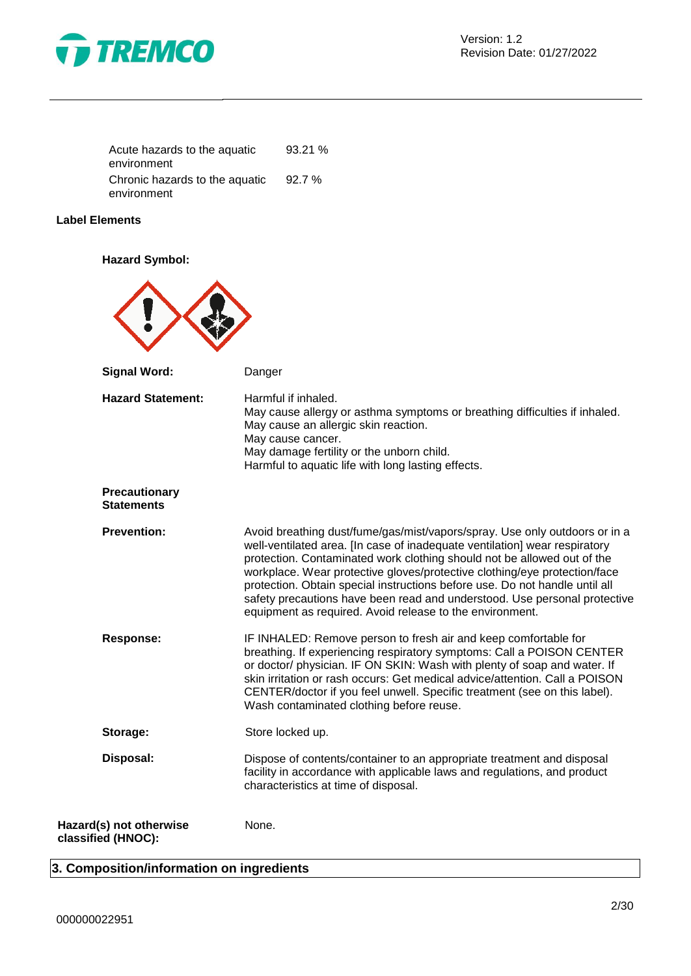

| Acute hazards to the aquatic   | 93.21% |
|--------------------------------|--------|
| environment                    |        |
| Chronic hazards to the aquatic | 92.7 % |
| environment                    |        |

# **Label Elements**

**Hazard Symbol:**



# **3. Composition/information on ingredients**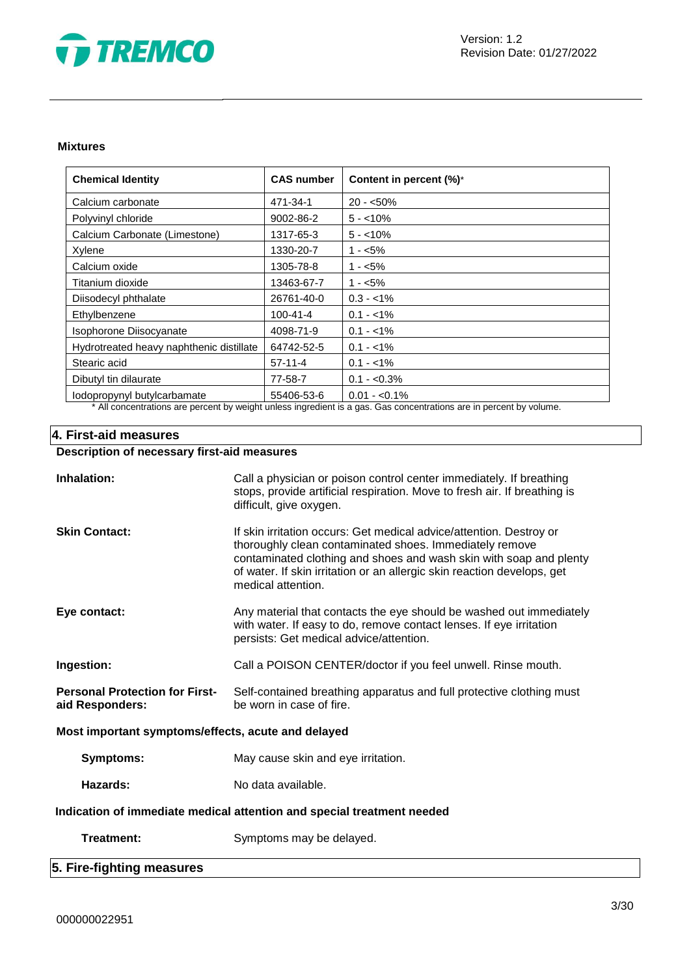

#### **Mixtures**

| <b>Chemical Identity</b>                 | <b>CAS number</b> | Content in percent (%)*                                                                                                          |
|------------------------------------------|-------------------|----------------------------------------------------------------------------------------------------------------------------------|
| Calcium carbonate                        | 471-34-1          | $20 - 50\%$                                                                                                                      |
| Polyvinyl chloride                       | 9002-86-2         | $5 - 10\%$                                                                                                                       |
| Calcium Carbonate (Limestone)            | 1317-65-3         | $5 - 10\%$                                                                                                                       |
| Xylene                                   | 1330-20-7         | $1 - 5\%$                                                                                                                        |
| Calcium oxide                            | 1305-78-8         | $1 - 5\%$                                                                                                                        |
| Titanium dioxide                         | 13463-67-7        | $1 - 5\%$                                                                                                                        |
| Diisodecyl phthalate                     | 26761-40-0        | $0.3 - 1\%$                                                                                                                      |
| Ethylbenzene                             | 100-41-4          | $0.1 - 1\%$                                                                                                                      |
| Isophorone Diisocyanate                  | 4098-71-9         | $0.1 - 1\%$                                                                                                                      |
| Hydrotreated heavy naphthenic distillate | 64742-52-5        | $0.1 - 1\%$                                                                                                                      |
| Stearic acid                             | $57-11-4$         | $0.1 - 1\%$                                                                                                                      |
| Dibutyl tin dilaurate                    | 77-58-7           | $0.1 - 0.3\%$                                                                                                                    |
| lodopropynyl butylcarbamate              | 55406-53-6        | $0.01 - 0.1\%$<br>a da saba da bada ka sababi sa kasa kada Mada ta saba . ∧a a sababa da da da da a ta da da da ka sababa ka sab |

\* All concentrations are percent by weight unless ingredient is a gas. Gas concentrations are in percent by volume.

# **4. First-aid measures**

# **Description of necessary first-aid measures**

| Inhalation:                                                            | Call a physician or poison control center immediately. If breathing<br>stops, provide artificial respiration. Move to fresh air. If breathing is<br>difficult, give oxygen.                                                                                                                           |  |
|------------------------------------------------------------------------|-------------------------------------------------------------------------------------------------------------------------------------------------------------------------------------------------------------------------------------------------------------------------------------------------------|--|
| <b>Skin Contact:</b>                                                   | If skin irritation occurs: Get medical advice/attention. Destroy or<br>thoroughly clean contaminated shoes. Immediately remove<br>contaminated clothing and shoes and wash skin with soap and plenty<br>of water. If skin irritation or an allergic skin reaction develops, get<br>medical attention. |  |
| Eye contact:                                                           | Any material that contacts the eye should be washed out immediately<br>with water. If easy to do, remove contact lenses. If eye irritation<br>persists: Get medical advice/attention.                                                                                                                 |  |
| Ingestion:                                                             | Call a POISON CENTER/doctor if you feel unwell. Rinse mouth.                                                                                                                                                                                                                                          |  |
| <b>Personal Protection for First-</b><br>aid Responders:               | Self-contained breathing apparatus and full protective clothing must<br>be worn in case of fire.                                                                                                                                                                                                      |  |
| Most important symptoms/effects, acute and delayed                     |                                                                                                                                                                                                                                                                                                       |  |
| <b>Symptoms:</b>                                                       | May cause skin and eye irritation.                                                                                                                                                                                                                                                                    |  |
| Hazards:                                                               | No data available.                                                                                                                                                                                                                                                                                    |  |
| Indication of immediate medical attention and special treatment needed |                                                                                                                                                                                                                                                                                                       |  |
| Treatment:                                                             | Symptoms may be delayed.                                                                                                                                                                                                                                                                              |  |
| 5. Fire-fighting measures                                              |                                                                                                                                                                                                                                                                                                       |  |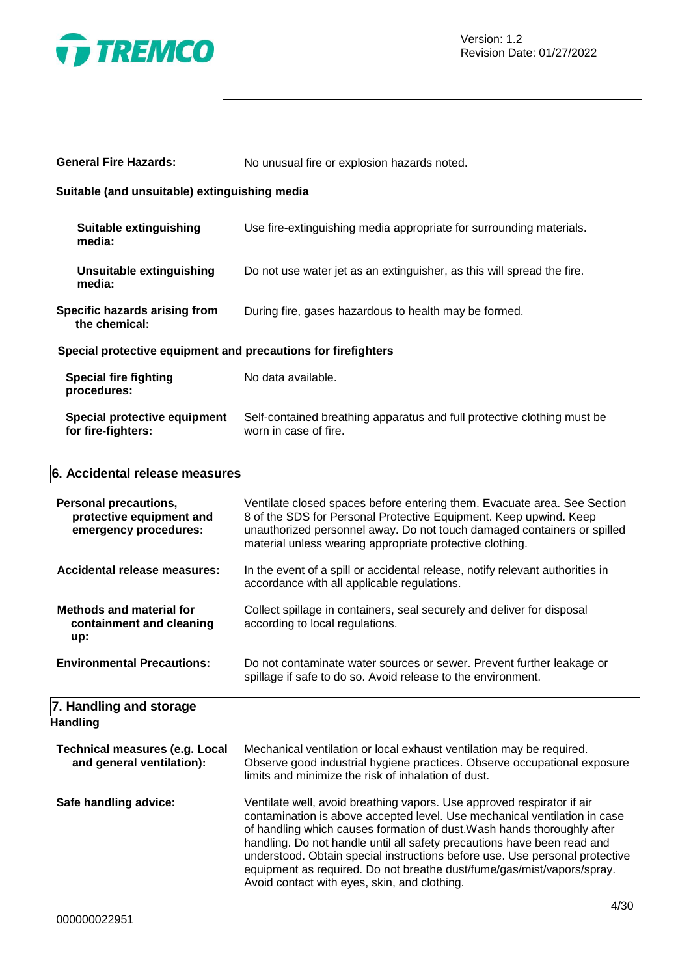

| <b>General Fire Hazards:</b>                                                      | No unusual fire or explosion hazards noted.                                                                                                                                                                                                                                          |  |  |
|-----------------------------------------------------------------------------------|--------------------------------------------------------------------------------------------------------------------------------------------------------------------------------------------------------------------------------------------------------------------------------------|--|--|
| Suitable (and unsuitable) extinguishing media                                     |                                                                                                                                                                                                                                                                                      |  |  |
| <b>Suitable extinguishing</b><br>media:                                           | Use fire-extinguishing media appropriate for surrounding materials.                                                                                                                                                                                                                  |  |  |
| Unsuitable extinguishing<br>media:                                                | Do not use water jet as an extinguisher, as this will spread the fire.                                                                                                                                                                                                               |  |  |
| Specific hazards arising from<br>the chemical:                                    | During fire, gases hazardous to health may be formed.                                                                                                                                                                                                                                |  |  |
| Special protective equipment and precautions for firefighters                     |                                                                                                                                                                                                                                                                                      |  |  |
| <b>Special fire fighting</b><br>procedures:                                       | No data available.                                                                                                                                                                                                                                                                   |  |  |
| Special protective equipment<br>for fire-fighters:                                | Self-contained breathing apparatus and full protective clothing must be<br>worn in case of fire.                                                                                                                                                                                     |  |  |
| 6. Accidental release measures                                                    |                                                                                                                                                                                                                                                                                      |  |  |
| <b>Personal precautions,</b><br>protective equipment and<br>emergency procedures: | Ventilate closed spaces before entering them. Evacuate area. See Section<br>8 of the SDS for Personal Protective Equipment. Keep upwind. Keep<br>unauthorized personnel away. Do not touch damaged containers or spilled<br>material unless wearing appropriate protective clothing. |  |  |

| Accidental release measures:    | In the event of a spill or accidental release, notify relevant authorities in<br>accordance with all applicable regulations. |
|---------------------------------|------------------------------------------------------------------------------------------------------------------------------|
| <b>Methods and material for</b> | Collect spillage in containers, seal securely and deliver for disposal                                                       |
| containment and cleaning        | according to local regulations.                                                                                              |

| up:                               |                                                                                                                                       |
|-----------------------------------|---------------------------------------------------------------------------------------------------------------------------------------|
| <b>Environmental Precautions:</b> | Do not contaminate water sources or sewer. Prevent further leakage or<br>spillage if safe to do so. Avoid release to the environment. |

#### **7. Handling and storage Handling**

| .                                                                  |                                                                                                                                                                                                                                                                                                                                                                                                                                                                                                                    |
|--------------------------------------------------------------------|--------------------------------------------------------------------------------------------------------------------------------------------------------------------------------------------------------------------------------------------------------------------------------------------------------------------------------------------------------------------------------------------------------------------------------------------------------------------------------------------------------------------|
| <b>Technical measures (e.g. Local</b><br>and general ventilation): | Mechanical ventilation or local exhaust ventilation may be required.<br>Observe good industrial hygiene practices. Observe occupational exposure<br>limits and minimize the risk of inhalation of dust.                                                                                                                                                                                                                                                                                                            |
| Safe handling advice:                                              | Ventilate well, avoid breathing vapors. Use approved respirator if air<br>contamination is above accepted level. Use mechanical ventilation in case<br>of handling which causes formation of dust. Wash hands thoroughly after<br>handling. Do not handle until all safety precautions have been read and<br>understood. Obtain special instructions before use. Use personal protective<br>equipment as required. Do not breathe dust/fume/gas/mist/vapors/spray.<br>Avoid contact with eyes, skin, and clothing. |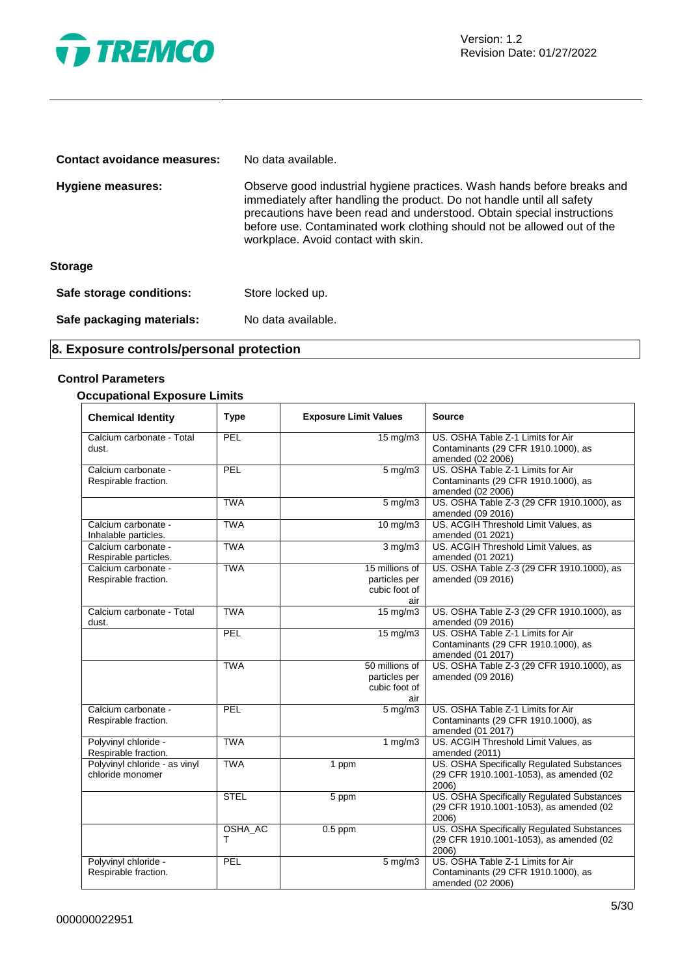

| Contact avoidance measures: | No data available.                                                                                                                                                                                                                                                                                                                            |
|-----------------------------|-----------------------------------------------------------------------------------------------------------------------------------------------------------------------------------------------------------------------------------------------------------------------------------------------------------------------------------------------|
| Hygiene measures:           | Observe good industrial hygiene practices. Wash hands before breaks and<br>immediately after handling the product. Do not handle until all safety<br>precautions have been read and understood. Obtain special instructions<br>before use. Contaminated work clothing should not be allowed out of the<br>workplace. Avoid contact with skin. |
| <b>Storage</b>              |                                                                                                                                                                                                                                                                                                                                               |
| Safe storage conditions:    | Store locked up.                                                                                                                                                                                                                                                                                                                              |
| Safe packaging materials:   | No data available.                                                                                                                                                                                                                                                                                                                            |

# **8. Exposure controls/personal protection**

# **Control Parameters**

# **Occupational Exposure Limits**

| <b>Chemical Identity</b>                          | <b>Type</b>  | <b>Exposure Limit Values</b>                            | <b>Source</b>                                                                                  |
|---------------------------------------------------|--------------|---------------------------------------------------------|------------------------------------------------------------------------------------------------|
| Calcium carbonate - Total<br>dust.                | PEL          | $15 \text{ mg/m}$                                       | US. OSHA Table Z-1 Limits for Air<br>Contaminants (29 CFR 1910.1000), as<br>amended (02 2006)  |
| Calcium carbonate -<br>Respirable fraction.       | PEL          | $5$ mg/m $3$                                            | US. OSHA Table Z-1 Limits for Air<br>Contaminants (29 CFR 1910.1000), as<br>amended (02 2006)  |
|                                                   | <b>TWA</b>   | $5$ mg/m $3$                                            | US. OSHA Table Z-3 (29 CFR 1910.1000), as<br>amended (09 2016)                                 |
| Calcium carbonate -<br>Inhalable particles.       | <b>TWA</b>   | $10 \text{ mg/m}$                                       | US. ACGIH Threshold Limit Values, as<br>amended (01 2021)                                      |
| Calcium carbonate -<br>Respirable particles.      | <b>TWA</b>   | $3 \overline{\mathrm{mg}}$ m3                           | US. ACGIH Threshold Limit Values, as<br>amended (01 2021)                                      |
| Calcium carbonate -<br>Respirable fraction.       | <b>TWA</b>   | 15 millions of<br>particles per<br>cubic foot of<br>air | US. OSHA Table Z-3 (29 CFR 1910.1000), as<br>amended (09 2016)                                 |
| Calcium carbonate - Total<br>dust.                | <b>TWA</b>   | 15 mg/m3                                                | US. OSHA Table Z-3 (29 CFR 1910.1000), as<br>amended (09 2016)                                 |
|                                                   | PEL          | $15 \text{ mg/m}$                                       | US. OSHA Table Z-1 Limits for Air<br>Contaminants (29 CFR 1910.1000), as<br>amended (01 2017)  |
|                                                   | <b>TWA</b>   | 50 millions of<br>particles per<br>cubic foot of<br>air | US. OSHA Table Z-3 (29 CFR 1910.1000), as<br>amended (09 2016)                                 |
| Calcium carbonate -<br>Respirable fraction.       | PEL          | $5 \text{ mg/m}$                                        | US. OSHA Table Z-1 Limits for Air<br>Contaminants (29 CFR 1910.1000), as<br>amended (01 2017)  |
| Polyvinyl chloride -<br>Respirable fraction.      | <b>TWA</b>   | 1 $mg/m3$                                               | US. ACGIH Threshold Limit Values, as<br>amended (2011)                                         |
| Polyvinyl chloride - as vinyl<br>chloride monomer | <b>TWA</b>   | 1 ppm                                                   | US. OSHA Specifically Regulated Substances<br>(29 CFR 1910.1001-1053), as amended (02<br>2006) |
|                                                   | <b>STEL</b>  | 5 ppm                                                   | US. OSHA Specifically Regulated Substances<br>(29 CFR 1910.1001-1053), as amended (02<br>2006) |
|                                                   | OSHA_AC<br>т | $0.5$ ppm                                               | US. OSHA Specifically Regulated Substances<br>(29 CFR 1910.1001-1053), as amended (02<br>2006) |
| Polyvinyl chloride -<br>Respirable fraction.      | PEL          | $5 \text{ mg/m}$                                        | US. OSHA Table Z-1 Limits for Air<br>Contaminants (29 CFR 1910.1000), as<br>amended (02 2006)  |

 $\overline{\phantom{0}}$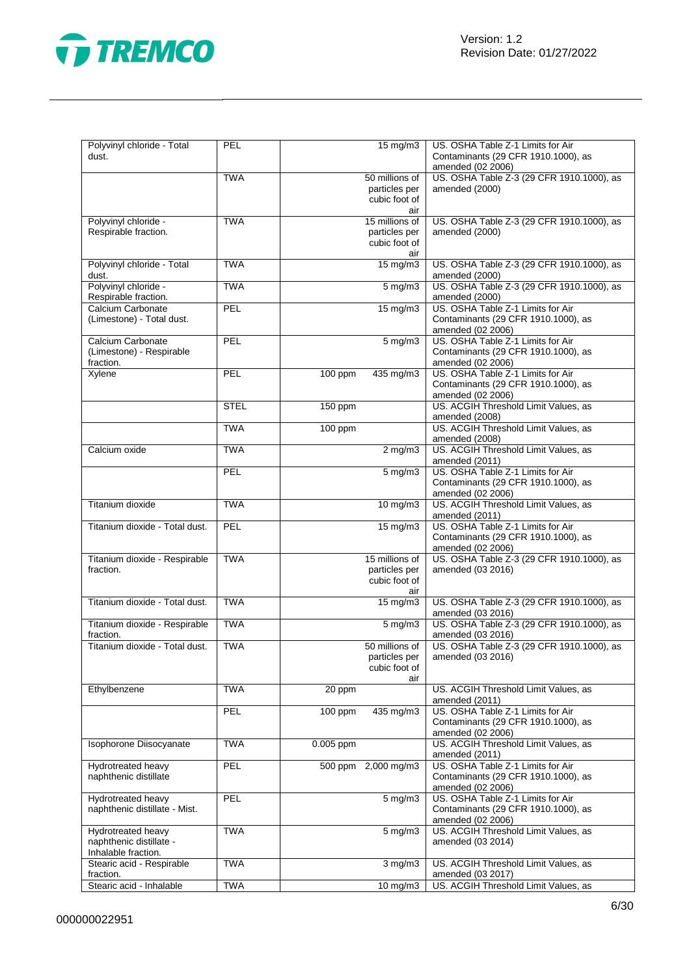

| Polyvinyl chloride - Total<br>dust.                                  | PEL         | 15 mg/m3                                                | US. OSHA Table Z-1 Limits for Air<br>Contaminants (29 CFR 1910.1000), as<br>amended (02 2006) |
|----------------------------------------------------------------------|-------------|---------------------------------------------------------|-----------------------------------------------------------------------------------------------|
|                                                                      | <b>TWA</b>  | 50 millions of<br>particles per<br>cubic foot of<br>air | US. OSHA Table Z-3 (29 CFR 1910.1000), as<br>amended (2000)                                   |
| Polyvinyl chloride -<br>Respirable fraction.                         | <b>TWA</b>  | 15 millions of<br>particles per<br>cubic foot of<br>air | US. OSHA Table Z-3 (29 CFR 1910.1000), as<br>amended (2000)                                   |
| Polyvinyl chloride - Total<br>dust.                                  | <b>TWA</b>  | 15 mg/m3                                                | US. OSHA Table Z-3 (29 CFR 1910.1000), as<br>amended (2000)                                   |
| Polyvinyl chloride -<br>Respirable fraction.                         | <b>TWA</b>  | $5 \text{ mg/m}$                                        | US. OSHA Table Z-3 (29 CFR 1910.1000), as<br>amended (2000)                                   |
| Calcium Carbonate<br>(Limestone) - Total dust.                       | PEL         | $15 \text{ mg/m}$                                       | US. OSHA Table Z-1 Limits for Air<br>Contaminants (29 CFR 1910.1000), as<br>amended (02 2006) |
| Calcium Carbonate<br>(Limestone) - Respirable<br>fraction.           | PEL         | $5 \text{ mg/m}$                                        | US. OSHA Table Z-1 Limits for Air<br>Contaminants (29 CFR 1910.1000), as<br>amended (02 2006) |
| Xylene                                                               | PEL         | 100 ppm<br>435 mg/m3                                    | US. OSHA Table Z-1 Limits for Air<br>Contaminants (29 CFR 1910.1000), as<br>amended (02 2006) |
|                                                                      | <b>STEL</b> | 150 ppm                                                 | US. ACGIH Threshold Limit Values, as<br>amended (2008)                                        |
|                                                                      | <b>TWA</b>  | 100 ppm                                                 | US. ACGIH Threshold Limit Values, as<br>amended (2008)                                        |
| Calcium oxide                                                        | <b>TWA</b>  | $2 \overline{\text{mg}}$ m3                             | US. ACGIH Threshold Limit Values, as<br>amended (2011)                                        |
|                                                                      | PEL         | 5 mg/m3                                                 | US. OSHA Table Z-1 Limits for Air<br>Contaminants (29 CFR 1910.1000), as<br>amended (02 2006) |
| Titanium dioxide                                                     | <b>TWA</b>  | 10 mg/m3                                                | US. ACGIH Threshold Limit Values, as<br>amended (2011)                                        |
| Titanium dioxide - Total dust.                                       | PEL         | $15 \text{ mg/m}$                                       | US. OSHA Table Z-1 Limits for Air<br>Contaminants (29 CFR 1910.1000), as<br>amended (02 2006) |
| Titanium dioxide - Respirable<br>fraction.                           | <b>TWA</b>  | 15 millions of<br>particles per<br>cubic foot of<br>air | US. OSHA Table Z-3 (29 CFR 1910.1000), as<br>amended (03 2016)                                |
| Titanium dioxide - Total dust.                                       | <b>TWA</b>  | $15 \overline{\text{mg}}$ m3                            | US. OSHA Table Z-3 (29 CFR 1910.1000), as<br>amended (03 2016)                                |
| Titanium dioxide - Respirable<br>fraction.                           | <b>TWA</b>  | $5 \,\mathrm{mg/m}$                                     | US. OSHA Table Z-3 (29 CFR 1910.1000), as<br>amended (03 2016)                                |
| Titanium dioxide - Total dust.                                       | <b>TWA</b>  | 50 millions of<br>particles per<br>cubic foot of<br>air | US. OSHA Table Z-3 (29 CFR 1910.1000), as<br>amended (03 2016)                                |
| Ethylbenzene                                                         | <b>TWA</b>  | 20 ppm                                                  | US. ACGIH Threshold Limit Values, as<br>amended (2011)                                        |
|                                                                      | PEL         | 100 ppm<br>435 mg/m3                                    | US. OSHA Table Z-1 Limits for Air<br>Contaminants (29 CFR 1910.1000), as<br>amended (02 2006) |
| Isophorone Diisocyanate                                              | <b>TWA</b>  | 0.005 ppm                                               | US. ACGIH Threshold Limit Values, as<br>amended (2011)                                        |
| Hydrotreated heavy<br>naphthenic distillate                          | PEL         | 500 ppm 2,000 mg/m3                                     | US. OSHA Table Z-1 Limits for Air<br>Contaminants (29 CFR 1910.1000), as<br>amended (02 2006) |
| Hydrotreated heavy<br>naphthenic distillate - Mist.                  | PEL         | $5 \text{ mg/m}$                                        | US. OSHA Table Z-1 Limits for Air<br>Contaminants (29 CFR 1910.1000), as<br>amended (02 2006) |
| Hydrotreated heavy<br>naphthenic distillate -<br>Inhalable fraction. | <b>TWA</b>  | $5 \overline{\mathrm{mg}}$ m3                           | US. ACGIH Threshold Limit Values, as<br>amended (03 2014)                                     |
| Stearic acid - Respirable<br>fraction.                               | <b>TWA</b>  | $3$ mg/m $3$                                            | US. ACGIH Threshold Limit Values, as<br>amended (03 2017)                                     |
| Stearic acid - Inhalable                                             | <b>TWA</b>  | 10 mg/m3                                                | US. ACGIH Threshold Limit Values, as                                                          |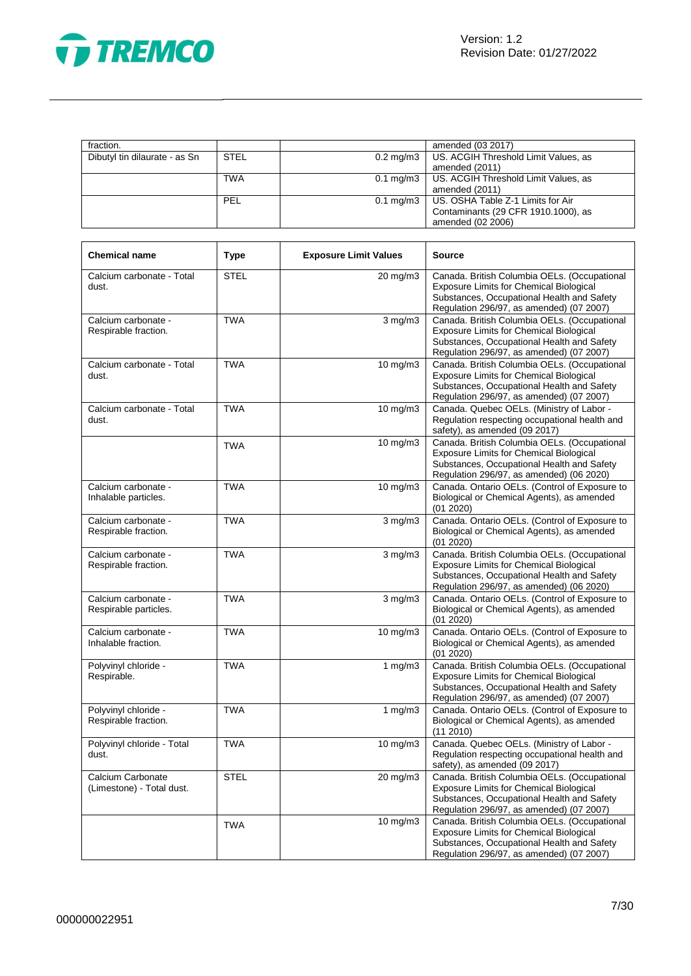

| fraction.                     |             | amended (03 2017)                                |
|-------------------------------|-------------|--------------------------------------------------|
| Dibutyl tin dilaurate - as Sn | <b>STEL</b> | 0.2 mg/m3   US. ACGIH Threshold Limit Values, as |
|                               |             | amended (2011)                                   |
|                               | TWA         | 0.1 mg/m3   US. ACGIH Threshold Limit Values, as |
|                               |             | amended (2011)                                   |
|                               | PEL         | 0.1 mg/m3   US. OSHA Table Z-1 Limits for Air    |
|                               |             | Contaminants (29 CFR 1910.1000), as              |
|                               |             | amended (02 2006)                                |

| <b>Chemical name</b>                           | <b>Type</b> | <b>Exposure Limit Values</b> | <b>Source</b>                                                                                                                                                                            |
|------------------------------------------------|-------------|------------------------------|------------------------------------------------------------------------------------------------------------------------------------------------------------------------------------------|
| Calcium carbonate - Total<br>dust.             | <b>STEL</b> | $20 \text{ mg/m}$ 3          | Canada. British Columbia OELs. (Occupational<br><b>Exposure Limits for Chemical Biological</b><br>Substances, Occupational Health and Safety<br>Regulation 296/97, as amended) (07 2007) |
| Calcium carbonate -<br>Respirable fraction.    | <b>TWA</b>  | $3$ mg/m $3$                 | Canada. British Columbia OELs. (Occupational<br><b>Exposure Limits for Chemical Biological</b><br>Substances, Occupational Health and Safety<br>Regulation 296/97, as amended) (07 2007) |
| Calcium carbonate - Total<br>dust.             | <b>TWA</b>  | 10 mg/m3                     | Canada. British Columbia OELs. (Occupational<br><b>Exposure Limits for Chemical Biological</b><br>Substances, Occupational Health and Safety<br>Regulation 296/97, as amended) (07 2007) |
| Calcium carbonate - Total<br>dust.             | <b>TWA</b>  | 10 mg/m3                     | Canada. Quebec OELs. (Ministry of Labor -<br>Regulation respecting occupational health and<br>safety), as amended (09 2017)                                                              |
|                                                | <b>TWA</b>  | 10 mg/m3                     | Canada. British Columbia OELs. (Occupational<br>Exposure Limits for Chemical Biological<br>Substances, Occupational Health and Safety<br>Regulation 296/97, as amended) (06 2020)        |
| Calcium carbonate -<br>Inhalable particles.    | <b>TWA</b>  | 10 mg/m3                     | Canada. Ontario OELs. (Control of Exposure to<br>Biological or Chemical Agents), as amended<br>(01 2020)                                                                                 |
| Calcium carbonate -<br>Respirable fraction.    | <b>TWA</b>  | $\overline{3}$ mg/m $3$      | Canada. Ontario OELs. (Control of Exposure to<br>Biological or Chemical Agents), as amended<br>(01 2020)                                                                                 |
| Calcium carbonate -<br>Respirable fraction.    | <b>TWA</b>  | $3$ mg/m $3$                 | Canada. British Columbia OELs. (Occupational<br>Exposure Limits for Chemical Biological<br>Substances, Occupational Health and Safety<br>Regulation 296/97, as amended) (06 2020)        |
| Calcium carbonate -<br>Respirable particles.   | <b>TWA</b>  | $3$ mg/m $3$                 | Canada. Ontario OELs. (Control of Exposure to<br>Biological or Chemical Agents), as amended<br>(01 2020)                                                                                 |
| Calcium carbonate -<br>Inhalable fraction.     | <b>TWA</b>  | 10 mg/m3                     | Canada. Ontario OELs. (Control of Exposure to<br>Biological or Chemical Agents), as amended<br>(01 2020)                                                                                 |
| Polyvinyl chloride -<br>Respirable.            | <b>TWA</b>  | 1 $mg/m3$                    | Canada. British Columbia OELs. (Occupational<br><b>Exposure Limits for Chemical Biological</b><br>Substances, Occupational Health and Safety<br>Regulation 296/97, as amended) (07 2007) |
| Polyvinyl chloride -<br>Respirable fraction.   | <b>TWA</b>  | 1 $mg/m3$                    | Canada. Ontario OELs. (Control of Exposure to<br>Biological or Chemical Agents), as amended<br>(11 2010)                                                                                 |
| Polyvinyl chloride - Total<br>dust.            | <b>TWA</b>  | 10 mg/m3                     | Canada. Quebec OELs. (Ministry of Labor -<br>Regulation respecting occupational health and<br>safety), as amended (09 2017)                                                              |
| Calcium Carbonate<br>(Limestone) - Total dust. | <b>STEL</b> | $20 \text{ mg/m}$ 3          | Canada. British Columbia OELs. (Occupational<br><b>Exposure Limits for Chemical Biological</b><br>Substances, Occupational Health and Safety<br>Regulation 296/97, as amended) (07 2007) |
|                                                | <b>TWA</b>  | 10 mg/m3                     | Canada. British Columbia OELs. (Occupational<br><b>Exposure Limits for Chemical Biological</b><br>Substances, Occupational Health and Safety<br>Regulation 296/97, as amended) (07 2007) |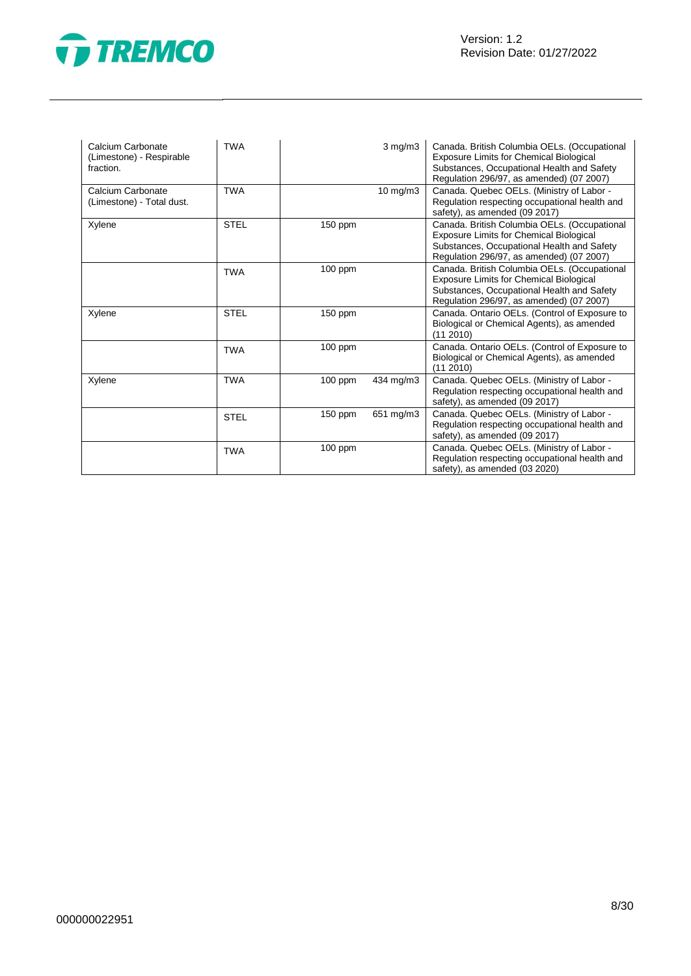



| Calcium Carbonate<br>(Limestone) - Respirable<br>fraction. | <b>TWA</b>  |           | $3$ mg/m $3$ | Canada. British Columbia OELs. (Occupational<br>Exposure Limits for Chemical Biological<br>Substances, Occupational Health and Safety<br>Regulation 296/97, as amended) (07 2007) |
|------------------------------------------------------------|-------------|-----------|--------------|-----------------------------------------------------------------------------------------------------------------------------------------------------------------------------------|
| Calcium Carbonate<br>(Limestone) - Total dust.             | <b>TWA</b>  |           | 10 mg/m3     | Canada. Quebec OELs. (Ministry of Labor -<br>Regulation respecting occupational health and<br>safety), as amended (09 2017)                                                       |
| Xylene                                                     | <b>STEL</b> | 150 ppm   |              | Canada. British Columbia OELs. (Occupational<br>Exposure Limits for Chemical Biological<br>Substances, Occupational Health and Safety<br>Regulation 296/97, as amended) (07 2007) |
|                                                            | <b>TWA</b>  | $100$ ppm |              | Canada. British Columbia OELs. (Occupational<br>Exposure Limits for Chemical Biological<br>Substances, Occupational Health and Safety<br>Regulation 296/97, as amended) (07 2007) |
| Xylene                                                     | <b>STEL</b> | $150$ ppm |              | Canada. Ontario OELs. (Control of Exposure to<br>Biological or Chemical Agents), as amended<br>(11 2010)                                                                          |
|                                                            | <b>TWA</b>  | 100 ppm   |              | Canada. Ontario OELs. (Control of Exposure to<br>Biological or Chemical Agents), as amended<br>(112010)                                                                           |
| Xylene                                                     | <b>TWA</b>  | 100 ppm   | 434 mg/m3    | Canada. Quebec OELs. (Ministry of Labor -<br>Regulation respecting occupational health and<br>safety), as amended (09 2017)                                                       |
|                                                            | <b>STEL</b> | 150 ppm   | 651 mg/m3    | Canada. Quebec OELs. (Ministry of Labor -<br>Regulation respecting occupational health and<br>safety), as amended (09 2017)                                                       |
|                                                            | <b>TWA</b>  | $100$ ppm |              | Canada. Quebec OELs. (Ministry of Labor -<br>Regulation respecting occupational health and<br>safety), as amended (03 2020)                                                       |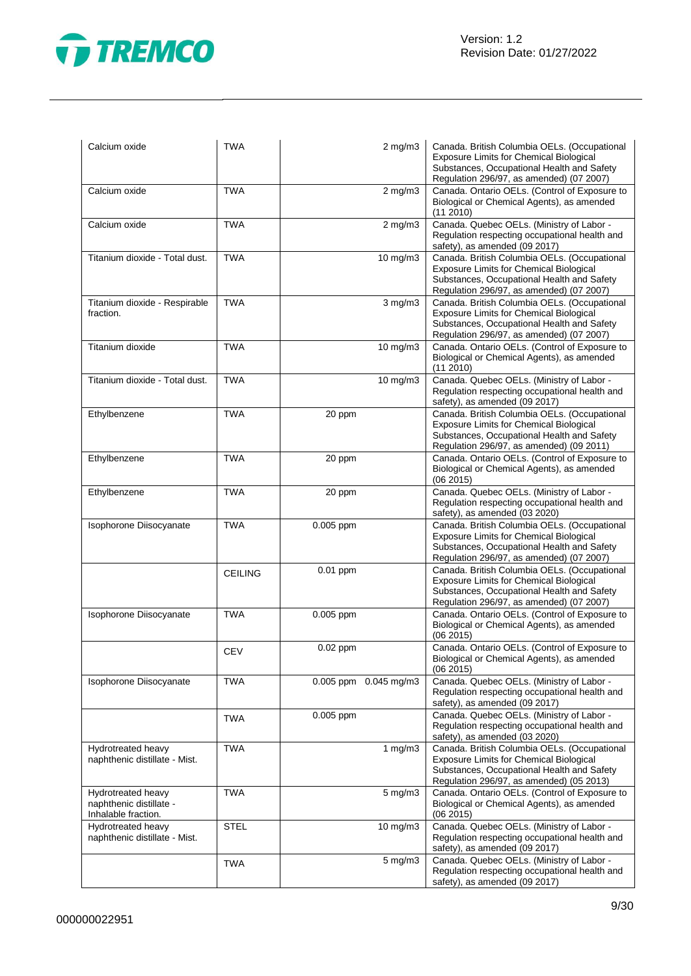

| Calcium oxide                                                        | <b>TWA</b>     | $2$ mg/m $3$          | Canada. British Columbia OELs. (Occupational<br><b>Exposure Limits for Chemical Biological</b><br>Substances, Occupational Health and Safety<br>Regulation 296/97, as amended) (07 2007) |
|----------------------------------------------------------------------|----------------|-----------------------|------------------------------------------------------------------------------------------------------------------------------------------------------------------------------------------|
| Calcium oxide                                                        | <b>TWA</b>     | $2$ mg/m $3$          | Canada. Ontario OELs. (Control of Exposure to<br>Biological or Chemical Agents), as amended<br>(11 2010)                                                                                 |
| Calcium oxide                                                        | <b>TWA</b>     | $2$ mg/m $3$          | Canada. Quebec OELs. (Ministry of Labor -<br>Regulation respecting occupational health and<br>safety), as amended (09 2017)                                                              |
| Titanium dioxide - Total dust.                                       | <b>TWA</b>     | 10 mg/m3              | Canada. British Columbia OELs. (Occupational<br><b>Exposure Limits for Chemical Biological</b><br>Substances, Occupational Health and Safety<br>Regulation 296/97, as amended) (07 2007) |
| Titanium dioxide - Respirable<br>fraction.                           | <b>TWA</b>     | $3$ mg/m $3$          | Canada. British Columbia OELs. (Occupational<br><b>Exposure Limits for Chemical Biological</b><br>Substances, Occupational Health and Safety<br>Regulation 296/97, as amended) (07 2007) |
| Titanium dioxide                                                     | <b>TWA</b>     | 10 mg/m3              | Canada. Ontario OELs. (Control of Exposure to<br>Biological or Chemical Agents), as amended<br>(11 2010)                                                                                 |
| Titanium dioxide - Total dust.                                       | <b>TWA</b>     | 10 mg/m3              | Canada. Quebec OELs. (Ministry of Labor -<br>Regulation respecting occupational health and<br>safety), as amended (09 2017)                                                              |
| Ethylbenzene                                                         | <b>TWA</b>     | 20 ppm                | Canada. British Columbia OELs. (Occupational<br><b>Exposure Limits for Chemical Biological</b><br>Substances, Occupational Health and Safety<br>Regulation 296/97, as amended) (09 2011) |
| Ethylbenzene                                                         | <b>TWA</b>     | 20 ppm                | Canada. Ontario OELs. (Control of Exposure to<br>Biological or Chemical Agents), as amended<br>(06 2015)                                                                                 |
| Ethylbenzene                                                         | <b>TWA</b>     | 20 ppm                | Canada. Quebec OELs. (Ministry of Labor -<br>Regulation respecting occupational health and<br>safety), as amended (03 2020)                                                              |
| Isophorone Diisocyanate                                              | <b>TWA</b>     | 0.005 ppm             | Canada. British Columbia OELs. (Occupational<br>Exposure Limits for Chemical Biological<br>Substances, Occupational Health and Safety<br>Regulation 296/97, as amended) (07 2007)        |
|                                                                      | <b>CEILING</b> | 0.01 ppm              | Canada. British Columbia OELs. (Occupational<br><b>Exposure Limits for Chemical Biological</b><br>Substances, Occupational Health and Safety<br>Regulation 296/97, as amended) (07 2007) |
| Isophorone Diisocyanate                                              | <b>TWA</b>     | 0.005 ppm             | Canada. Ontario OELs. (Control of Exposure to<br>Biological or Chemical Agents), as amended<br>(06 2015)                                                                                 |
|                                                                      | <b>CEV</b>     | 0.02 ppm              | Canada. Ontario OELs. (Control of Exposure to<br>Biological or Chemical Agents), as amended<br>(06 2015)                                                                                 |
| Isophorone Diisocyanate                                              | <b>TWA</b>     | 0.005 ppm 0.045 mg/m3 | Canada. Quebec OELs. (Ministry of Labor -<br>Regulation respecting occupational health and<br>safety), as amended (09 2017)                                                              |
|                                                                      | TWA            | 0.005 ppm             | Canada. Quebec OELs. (Ministry of Labor -<br>Regulation respecting occupational health and<br>safety), as amended (03 2020)                                                              |
| Hydrotreated heavy<br>naphthenic distillate - Mist.                  | <b>TWA</b>     | 1 $mg/m3$             | Canada. British Columbia OELs. (Occupational<br><b>Exposure Limits for Chemical Biological</b><br>Substances, Occupational Health and Safety<br>Regulation 296/97, as amended) (05 2013) |
| Hydrotreated heavy<br>naphthenic distillate -<br>Inhalable fraction. | <b>TWA</b>     | 5 mg/m3               | Canada. Ontario OELs. (Control of Exposure to<br>Biological or Chemical Agents), as amended<br>(06 2015)                                                                                 |
| Hydrotreated heavy<br>naphthenic distillate - Mist.                  | <b>STEL</b>    | 10 mg/m3              | Canada. Quebec OELs. (Ministry of Labor -<br>Regulation respecting occupational health and<br>safety), as amended (09 2017)                                                              |
|                                                                      | <b>TWA</b>     | 5 mg/m3               | Canada. Quebec OELs. (Ministry of Labor -<br>Regulation respecting occupational health and<br>safety), as amended (09 2017)                                                              |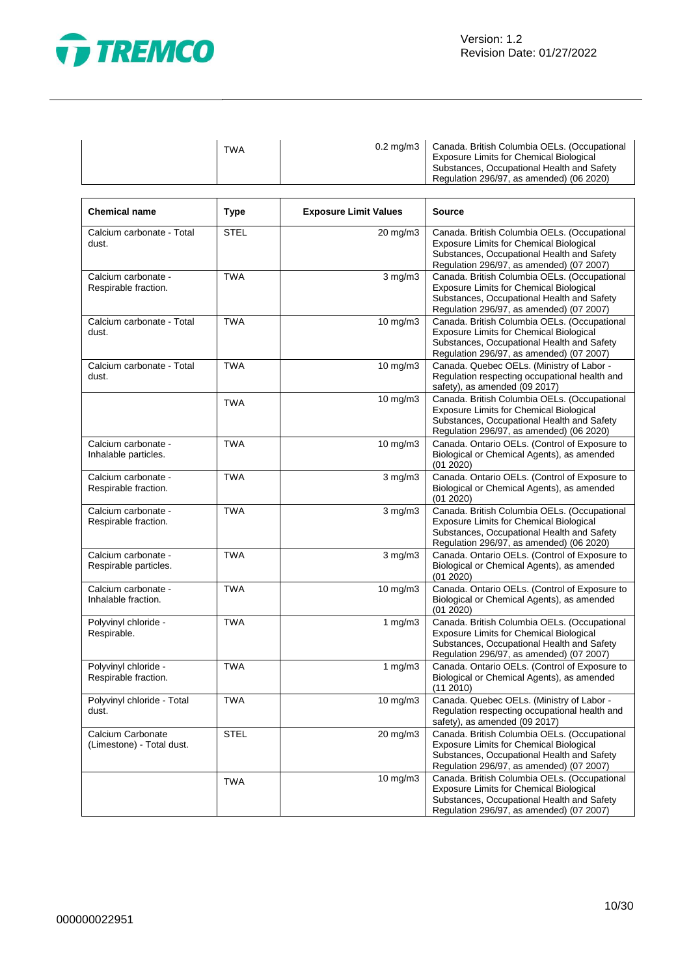

 $\overline{1}$ 

| <b>TWA</b><br><b>Exposure Limits for Chemical Biological</b><br>Regulation 296/97, as amended) (06 2020) |  | 0.2 mg/m3   Canada. British Columbia OELs. (Occupational<br>Substances, Occupational Health and Safety |
|----------------------------------------------------------------------------------------------------------|--|--------------------------------------------------------------------------------------------------------|
|----------------------------------------------------------------------------------------------------------|--|--------------------------------------------------------------------------------------------------------|

| <b>Chemical name</b>                           | <b>Type</b> | <b>Exposure Limit Values</b> | <b>Source</b>                                                                                                                                                                            |
|------------------------------------------------|-------------|------------------------------|------------------------------------------------------------------------------------------------------------------------------------------------------------------------------------------|
| Calcium carbonate - Total<br>dust.             | <b>STEL</b> | 20 mg/m3                     | Canada. British Columbia OELs. (Occupational<br><b>Exposure Limits for Chemical Biological</b><br>Substances, Occupational Health and Safety<br>Regulation 296/97, as amended) (07 2007) |
| Calcium carbonate -<br>Respirable fraction.    | <b>TWA</b>  | $3$ mg/m $3$                 | Canada. British Columbia OELs. (Occupational<br><b>Exposure Limits for Chemical Biological</b><br>Substances, Occupational Health and Safety<br>Regulation 296/97, as amended) (07 2007) |
| Calcium carbonate - Total<br>dust.             | <b>TWA</b>  | 10 mg/m3                     | Canada. British Columbia OELs. (Occupational<br><b>Exposure Limits for Chemical Biological</b><br>Substances, Occupational Health and Safety<br>Regulation 296/97, as amended) (07 2007) |
| Calcium carbonate - Total<br>dust.             | <b>TWA</b>  | 10 mg/m3                     | Canada. Quebec OELs. (Ministry of Labor -<br>Regulation respecting occupational health and<br>safety), as amended (09 2017)                                                              |
|                                                | <b>TWA</b>  | $10$ mg/m $3$                | Canada. British Columbia OELs. (Occupational<br><b>Exposure Limits for Chemical Biological</b><br>Substances, Occupational Health and Safety<br>Regulation 296/97, as amended) (06 2020) |
| Calcium carbonate -<br>Inhalable particles.    | <b>TWA</b>  | 10 mg/m3                     | Canada. Ontario OELs. (Control of Exposure to<br>Biological or Chemical Agents), as amended<br>(01 2020)                                                                                 |
| Calcium carbonate -<br>Respirable fraction.    | <b>TWA</b>  | $3$ mg/m $3$                 | Canada. Ontario OELs. (Control of Exposure to<br>Biological or Chemical Agents), as amended<br>(01 2020)                                                                                 |
| Calcium carbonate -<br>Respirable fraction.    | <b>TWA</b>  | $3$ mg/m $3$                 | Canada. British Columbia OELs. (Occupational<br><b>Exposure Limits for Chemical Biological</b><br>Substances, Occupational Health and Safety<br>Regulation 296/97, as amended) (06 2020) |
| Calcium carbonate -<br>Respirable particles.   | <b>TWA</b>  | $3$ mg/m $3$                 | Canada. Ontario OELs. (Control of Exposure to<br>Biological or Chemical Agents), as amended<br>(01 2020)                                                                                 |
| Calcium carbonate -<br>Inhalable fraction.     | <b>TWA</b>  | 10 mg/m3                     | Canada. Ontario OELs. (Control of Exposure to<br>Biological or Chemical Agents), as amended<br>(01 2020)                                                                                 |
| Polyvinyl chloride -<br>Respirable.            | <b>TWA</b>  | 1 $mg/m3$                    | Canada. British Columbia OELs. (Occupational<br><b>Exposure Limits for Chemical Biological</b><br>Substances, Occupational Health and Safety<br>Regulation 296/97, as amended) (07 2007) |
| Polyvinyl chloride -<br>Respirable fraction.   | <b>TWA</b>  | 1 $mg/m3$                    | Canada. Ontario OELs. (Control of Exposure to<br>Biological or Chemical Agents), as amended<br>(112010)                                                                                  |
| Polyvinyl chloride - Total<br>dust.            | <b>TWA</b>  | 10 mg/m3                     | Canada. Quebec OELs. (Ministry of Labor -<br>Regulation respecting occupational health and<br>safety), as amended (09 2017)                                                              |
| Calcium Carbonate<br>(Limestone) - Total dust. | <b>STEL</b> | 20 mg/m3                     | Canada. British Columbia OELs. (Occupational<br><b>Exposure Limits for Chemical Biological</b><br>Substances, Occupational Health and Safety<br>Regulation 296/97, as amended) (07 2007) |
|                                                | <b>TWA</b>  | 10 mg/m3                     | Canada. British Columbia OELs. (Occupational<br><b>Exposure Limits for Chemical Biological</b><br>Substances, Occupational Health and Safety<br>Regulation 296/97, as amended) (07 2007) |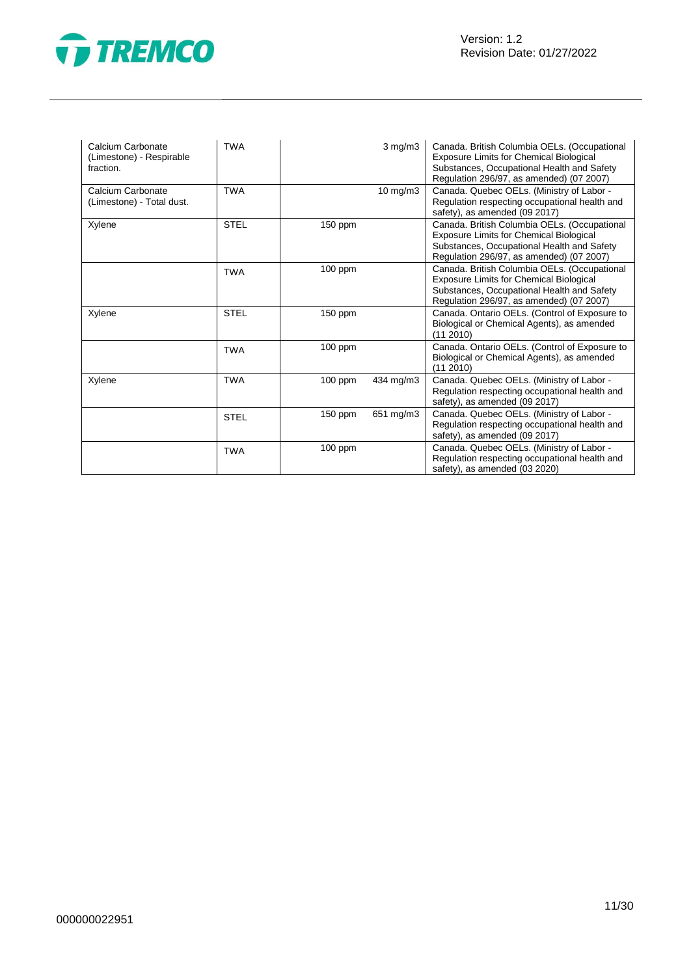

| Calcium Carbonate<br>(Limestone) - Respirable<br>fraction. | <b>TWA</b>  |           | $3$ mg/m $3$      | Canada. British Columbia OELs. (Occupational<br><b>Exposure Limits for Chemical Biological</b><br>Substances, Occupational Health and Safety<br>Regulation 296/97, as amended) (07 2007) |
|------------------------------------------------------------|-------------|-----------|-------------------|------------------------------------------------------------------------------------------------------------------------------------------------------------------------------------------|
| Calcium Carbonate<br>(Limestone) - Total dust.             | <b>TWA</b>  |           | $10 \text{ mg/m}$ | Canada. Quebec OELs. (Ministry of Labor -<br>Regulation respecting occupational health and<br>safety), as amended (09 2017)                                                              |
| Xylene                                                     | <b>STEL</b> | $150$ ppm |                   | Canada. British Columbia OELs. (Occupational<br><b>Exposure Limits for Chemical Biological</b><br>Substances, Occupational Health and Safety<br>Regulation 296/97, as amended) (07 2007) |
|                                                            | <b>TWA</b>  | $100$ ppm |                   | Canada. British Columbia OELs. (Occupational<br>Exposure Limits for Chemical Biological<br>Substances, Occupational Health and Safety<br>Regulation 296/97, as amended) (07 2007)        |
| Xylene                                                     | <b>STEL</b> | 150 ppm   |                   | Canada. Ontario OELs. (Control of Exposure to<br>Biological or Chemical Agents), as amended<br>(11 2010)                                                                                 |
|                                                            | <b>TWA</b>  | $100$ ppm |                   | Canada. Ontario OELs. (Control of Exposure to<br>Biological or Chemical Agents), as amended<br>(11 2010)                                                                                 |
| Xylene                                                     | <b>TWA</b>  | $100$ ppm | 434 mg/m3         | Canada. Quebec OELs. (Ministry of Labor -<br>Regulation respecting occupational health and<br>safety), as amended (09 2017)                                                              |
|                                                            | <b>STEL</b> | $150$ ppm | 651 mg/m3         | Canada. Quebec OELs. (Ministry of Labor -<br>Regulation respecting occupational health and<br>safety), as amended (09 2017)                                                              |
|                                                            | <b>TWA</b>  | $100$ ppm |                   | Canada. Quebec OELs. (Ministry of Labor -<br>Regulation respecting occupational health and<br>safety), as amended (03 2020)                                                              |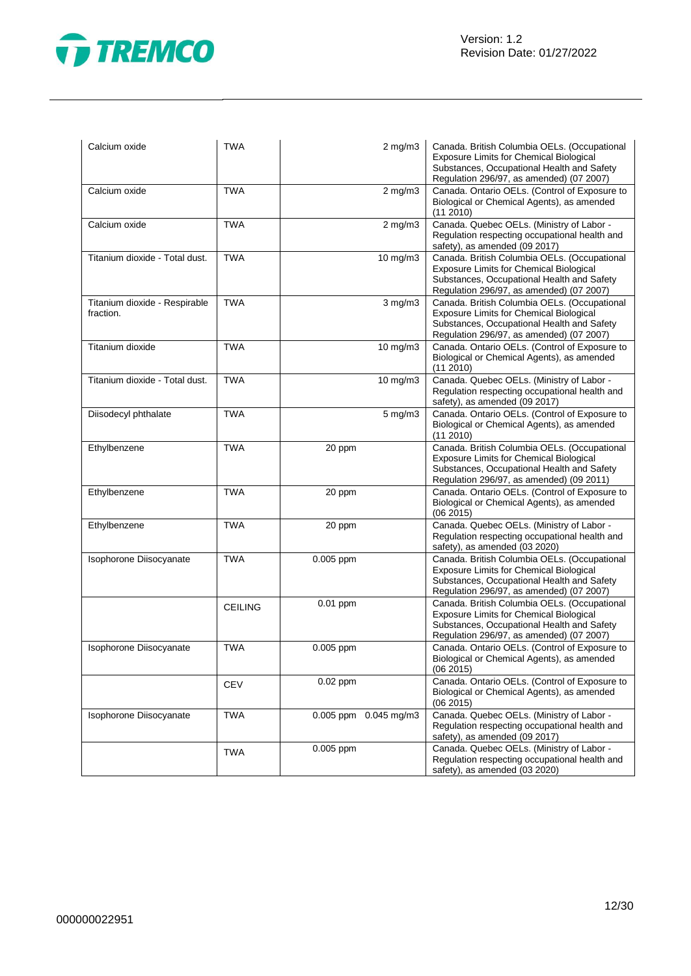

| Calcium oxide                              | <b>TWA</b>     |                       | $2$ mg/m $3$      | Canada. British Columbia OELs. (Occupational<br><b>Exposure Limits for Chemical Biological</b><br>Substances, Occupational Health and Safety<br>Regulation 296/97, as amended) (07 2007) |
|--------------------------------------------|----------------|-----------------------|-------------------|------------------------------------------------------------------------------------------------------------------------------------------------------------------------------------------|
| Calcium oxide                              | <b>TWA</b>     |                       | $2$ mg/m $3$      | Canada. Ontario OELs. (Control of Exposure to<br>Biological or Chemical Agents), as amended<br>(11 2010)                                                                                 |
| Calcium oxide                              | <b>TWA</b>     |                       | $2$ mg/m $3$      | Canada. Quebec OELs. (Ministry of Labor -<br>Regulation respecting occupational health and<br>safety), as amended (09 2017)                                                              |
| Titanium dioxide - Total dust.             | <b>TWA</b>     |                       | 10 mg/m3          | Canada. British Columbia OELs. (Occupational<br><b>Exposure Limits for Chemical Biological</b><br>Substances, Occupational Health and Safety<br>Regulation 296/97, as amended) (07 2007) |
| Titanium dioxide - Respirable<br>fraction. | <b>TWA</b>     |                       | $3$ mg/m $3$      | Canada. British Columbia OELs. (Occupational<br><b>Exposure Limits for Chemical Biological</b><br>Substances, Occupational Health and Safety<br>Regulation 296/97, as amended) (07 2007) |
| Titanium dioxide                           | <b>TWA</b>     |                       | $10 \text{ mg/m}$ | Canada. Ontario OELs. (Control of Exposure to<br>Biological or Chemical Agents), as amended<br>(11 2010)                                                                                 |
| Titanium dioxide - Total dust.             | <b>TWA</b>     |                       | 10 mg/m3          | Canada. Quebec OELs. (Ministry of Labor -<br>Regulation respecting occupational health and<br>safety), as amended (09 2017)                                                              |
| Diisodecyl phthalate                       | <b>TWA</b>     |                       | $5$ mg/m $3$      | Canada. Ontario OELs. (Control of Exposure to<br>Biological or Chemical Agents), as amended<br>$(11\ 2010)$                                                                              |
| Ethylbenzene                               | <b>TWA</b>     | 20 ppm                |                   | Canada. British Columbia OELs. (Occupational<br><b>Exposure Limits for Chemical Biological</b><br>Substances, Occupational Health and Safety<br>Regulation 296/97, as amended) (09 2011) |
| Ethylbenzene                               | <b>TWA</b>     | 20 ppm                |                   | Canada. Ontario OELs. (Control of Exposure to<br>Biological or Chemical Agents), as amended<br>(06 2015)                                                                                 |
| Ethylbenzene                               | <b>TWA</b>     | 20 ppm                |                   | Canada. Quebec OELs. (Ministry of Labor -<br>Regulation respecting occupational health and<br>safety), as amended (03 2020)                                                              |
| Isophorone Diisocyanate                    | <b>TWA</b>     | 0.005 ppm             |                   | Canada. British Columbia OELs. (Occupational<br>Exposure Limits for Chemical Biological<br>Substances, Occupational Health and Safety<br>Regulation 296/97, as amended) (07 2007)        |
|                                            | <b>CEILING</b> | 0.01 ppm              |                   | Canada. British Columbia OELs. (Occupational<br><b>Exposure Limits for Chemical Biological</b><br>Substances, Occupational Health and Safety<br>Regulation 296/97, as amended) (07 2007) |
| Isophorone Diisocyanate                    | <b>TWA</b>     | 0.005 ppm             |                   | Canada. Ontario OELs. (Control of Exposure to<br>Biological or Chemical Agents), as amended<br>(06 2015)                                                                                 |
|                                            | <b>CEV</b>     | 0.02 ppm              |                   | Canada. Ontario OELs. (Control of Exposure to<br>Biological or Chemical Agents), as amended<br>(06 2015)                                                                                 |
| Isophorone Diisocyanate                    | <b>TWA</b>     | 0.005 ppm 0.045 mg/m3 |                   | Canada. Quebec OELs. (Ministry of Labor -<br>Regulation respecting occupational health and<br>safety), as amended (09 2017)                                                              |
|                                            | <b>TWA</b>     | $0.005$ ppm           |                   | Canada. Quebec OELs. (Ministry of Labor -<br>Regulation respecting occupational health and<br>safety), as amended (03 2020)                                                              |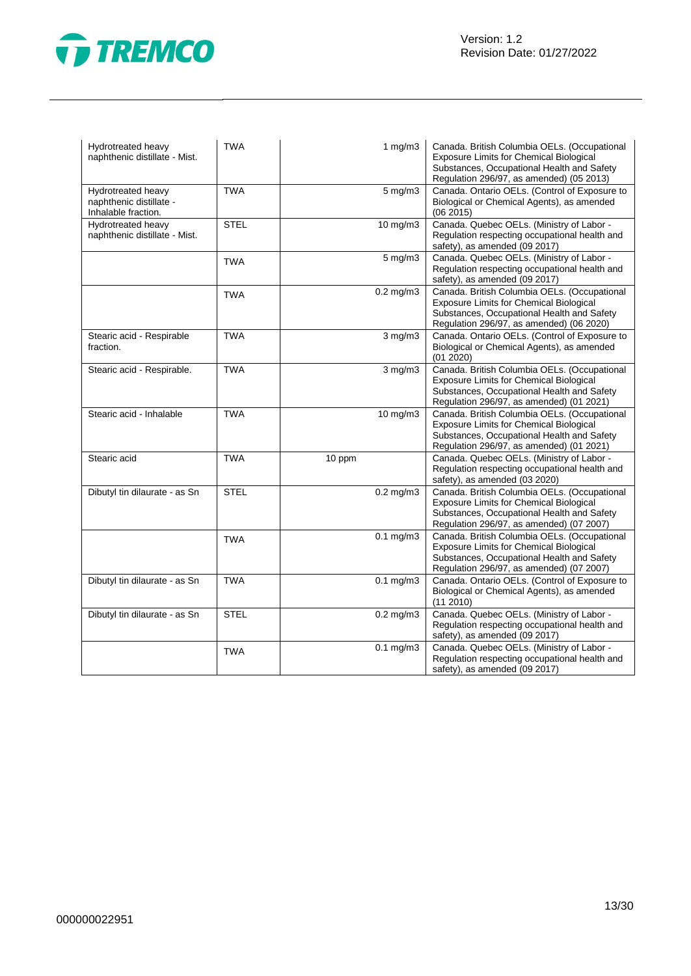

| Hydrotreated heavy<br>naphthenic distillate - Mist.                  | <b>TWA</b>  | 1 $mg/m3$      | Canada. British Columbia OELs. (Occupational<br>Exposure Limits for Chemical Biological<br>Substances, Occupational Health and Safety<br>Regulation 296/97, as amended) (05 2013)        |
|----------------------------------------------------------------------|-------------|----------------|------------------------------------------------------------------------------------------------------------------------------------------------------------------------------------------|
| Hydrotreated heavy<br>naphthenic distillate -<br>Inhalable fraction. | <b>TWA</b>  | $5$ mg/m $3$   | Canada. Ontario OELs. (Control of Exposure to<br>Biological or Chemical Agents), as amended<br>(06 2015)                                                                                 |
| Hydrotreated heavy<br>naphthenic distillate - Mist.                  | <b>STEL</b> | 10 mg/m3       | Canada. Quebec OELs. (Ministry of Labor -<br>Regulation respecting occupational health and<br>safety), as amended (09 2017)                                                              |
|                                                                      | <b>TWA</b>  | 5 mg/m3        | Canada. Quebec OELs. (Ministry of Labor -<br>Regulation respecting occupational health and<br>safety), as amended (09 2017)                                                              |
|                                                                      | <b>TWA</b>  | $0.2$ mg/m $3$ | Canada. British Columbia OELs. (Occupational<br><b>Exposure Limits for Chemical Biological</b><br>Substances, Occupational Health and Safety<br>Regulation 296/97, as amended) (06 2020) |
| Stearic acid - Respirable<br>fraction.                               | <b>TWA</b>  | $3$ mg/m $3$   | Canada. Ontario OELs. (Control of Exposure to<br>Biological or Chemical Agents), as amended<br>(01 2020)                                                                                 |
| Stearic acid - Respirable.                                           | <b>TWA</b>  | $3$ mg/m $3$   | Canada. British Columbia OELs. (Occupational<br>Exposure Limits for Chemical Biological<br>Substances, Occupational Health and Safety<br>Regulation 296/97, as amended) (01 2021)        |
| Stearic acid - Inhalable                                             | <b>TWA</b>  | 10 mg/m3       | Canada. British Columbia OELs. (Occupational<br><b>Exposure Limits for Chemical Biological</b><br>Substances, Occupational Health and Safety<br>Regulation 296/97, as amended) (01 2021) |
| Stearic acid                                                         | <b>TWA</b>  | 10 ppm         | Canada. Quebec OELs. (Ministry of Labor -<br>Regulation respecting occupational health and<br>safety), as amended (03 2020)                                                              |
| Dibutyl tin dilaurate - as Sn                                        | <b>STEL</b> | $0.2$ mg/m $3$ | Canada. British Columbia OELs. (Occupational<br>Exposure Limits for Chemical Biological<br>Substances, Occupational Health and Safety<br>Regulation 296/97, as amended) (07 2007)        |
|                                                                      | <b>TWA</b>  | $0.1$ mg/m $3$ | Canada. British Columbia OELs. (Occupational<br><b>Exposure Limits for Chemical Biological</b><br>Substances, Occupational Health and Safety<br>Regulation 296/97, as amended) (07 2007) |
| Dibutyl tin dilaurate - as Sn                                        | <b>TWA</b>  | $0.1$ mg/m $3$ | Canada. Ontario OELs. (Control of Exposure to<br>Biological or Chemical Agents), as amended<br>$(11\ 2010)$                                                                              |
| Dibutyl tin dilaurate - as Sn                                        | <b>STEL</b> | $0.2$ mg/m $3$ | Canada. Quebec OELs. (Ministry of Labor -<br>Regulation respecting occupational health and<br>safety), as amended (09 2017)                                                              |
|                                                                      | <b>TWA</b>  | $0.1$ mg/m $3$ | Canada. Quebec OELs. (Ministry of Labor -<br>Regulation respecting occupational health and<br>safety), as amended (09 2017)                                                              |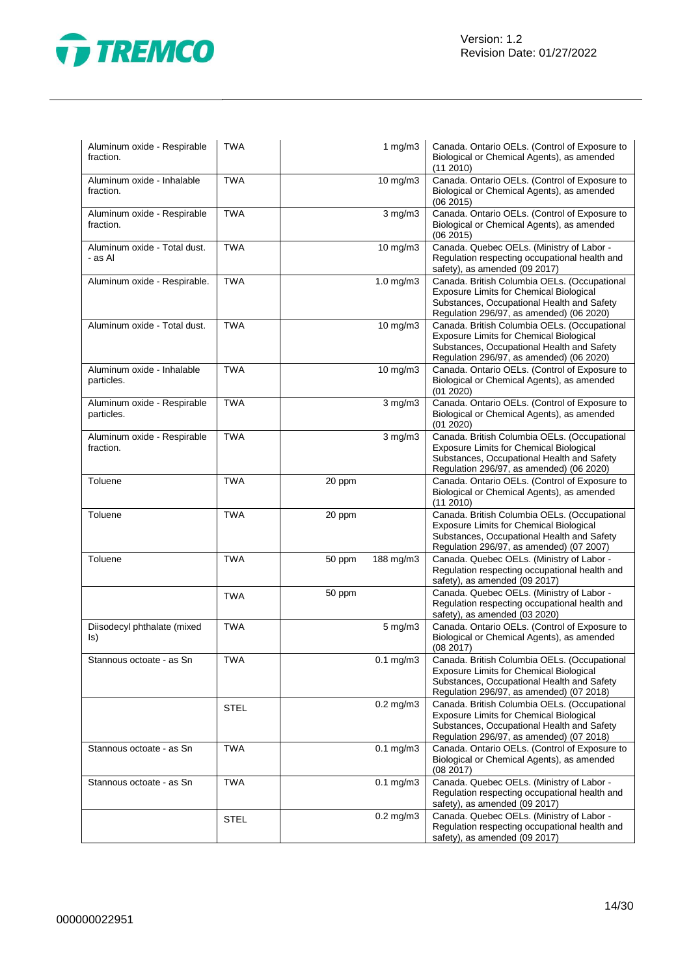

| Aluminum oxide - Respirable<br>fraction.  | <b>TWA</b>  |        | 1 $mg/m3$      | Canada. Ontario OELs. (Control of Exposure to<br>Biological or Chemical Agents), as amended<br>(112010)                                                                                  |
|-------------------------------------------|-------------|--------|----------------|------------------------------------------------------------------------------------------------------------------------------------------------------------------------------------------|
| Aluminum oxide - Inhalable<br>fraction.   | <b>TWA</b>  |        | 10 mg/m3       | Canada. Ontario OELs. (Control of Exposure to<br>Biological or Chemical Agents), as amended<br>(062015)                                                                                  |
| Aluminum oxide - Respirable<br>fraction.  | <b>TWA</b>  |        | $3$ mg/m $3$   | Canada. Ontario OELs. (Control of Exposure to<br>Biological or Chemical Agents), as amended<br>(06 2015)                                                                                 |
| Aluminum oxide - Total dust.<br>- as Al   | <b>TWA</b>  |        | 10 mg/m3       | Canada. Quebec OELs. (Ministry of Labor -<br>Regulation respecting occupational health and<br>safety), as amended (09 2017)                                                              |
| Aluminum oxide - Respirable.              | <b>TWA</b>  |        | 1.0 mg/m3      | Canada. British Columbia OELs. (Occupational<br>Exposure Limits for Chemical Biological<br>Substances, Occupational Health and Safety<br>Regulation 296/97, as amended) (06 2020)        |
| Aluminum oxide - Total dust.              | <b>TWA</b>  |        | 10 mg/m3       | Canada. British Columbia OELs. (Occupational<br>Exposure Limits for Chemical Biological<br>Substances, Occupational Health and Safety<br>Regulation 296/97, as amended) (06 2020)        |
| Aluminum oxide - Inhalable<br>particles.  | <b>TWA</b>  |        | 10 mg/m3       | Canada. Ontario OELs. (Control of Exposure to<br>Biological or Chemical Agents), as amended<br>(01 2020)                                                                                 |
| Aluminum oxide - Respirable<br>particles. | <b>TWA</b>  |        | $3$ mg/m $3$   | Canada. Ontario OELs. (Control of Exposure to<br>Biological or Chemical Agents), as amended<br>(01 2020)                                                                                 |
| Aluminum oxide - Respirable<br>fraction.  | <b>TWA</b>  |        | $3$ mg/m $3$   | Canada. British Columbia OELs. (Occupational<br><b>Exposure Limits for Chemical Biological</b><br>Substances, Occupational Health and Safety<br>Regulation 296/97, as amended) (06 2020) |
| Toluene                                   | <b>TWA</b>  | 20 ppm |                | Canada. Ontario OELs. (Control of Exposure to<br>Biological or Chemical Agents), as amended<br>(112010)                                                                                  |
| Toluene                                   | <b>TWA</b>  | 20 ppm |                | Canada. British Columbia OELs. (Occupational<br>Exposure Limits for Chemical Biological<br>Substances, Occupational Health and Safety<br>Regulation 296/97, as amended) (07 2007)        |
| Toluene                                   | <b>TWA</b>  | 50 ppm | 188 mg/m3      | Canada. Quebec OELs. (Ministry of Labor -<br>Regulation respecting occupational health and<br>safety), as amended (09 2017)                                                              |
|                                           | <b>TWA</b>  | 50 ppm |                | Canada. Quebec OELs. (Ministry of Labor -<br>Regulation respecting occupational health and<br>safety), as amended (03 2020)                                                              |
| Diisodecyl phthalate (mixed<br>ls)        | <b>TWA</b>  |        | $5$ mg/m $3$   | Canada. Ontario OELs. (Control of Exposure to<br>Biological or Chemical Agents), as amended<br>(08 2017)                                                                                 |
| Stannous octoate - as Sn                  | TWA         |        | 0.1 mg/m3      | Canada. British Columbia OELs. (Occupational<br><b>Exposure Limits for Chemical Biological</b><br>Substances, Occupational Health and Safety<br>Regulation 296/97, as amended) (07 2018) |
|                                           | <b>STEL</b> |        | $0.2$ mg/m $3$ | Canada. British Columbia OELs. (Occupational<br><b>Exposure Limits for Chemical Biological</b><br>Substances, Occupational Health and Safety<br>Regulation 296/97, as amended) (07 2018) |
| Stannous octoate - as Sn                  | <b>TWA</b>  |        | $0.1$ mg/m $3$ | Canada. Ontario OELs. (Control of Exposure to<br>Biological or Chemical Agents), as amended<br>(08 2017)                                                                                 |
| Stannous octoate - as Sn                  | <b>TWA</b>  |        | $0.1$ mg/m $3$ | Canada. Quebec OELs. (Ministry of Labor -<br>Regulation respecting occupational health and<br>safety), as amended (09 2017)                                                              |
|                                           | <b>STEL</b> |        | $0.2$ mg/m $3$ | Canada. Quebec OELs. (Ministry of Labor -<br>Regulation respecting occupational health and<br>safety), as amended (09 2017)                                                              |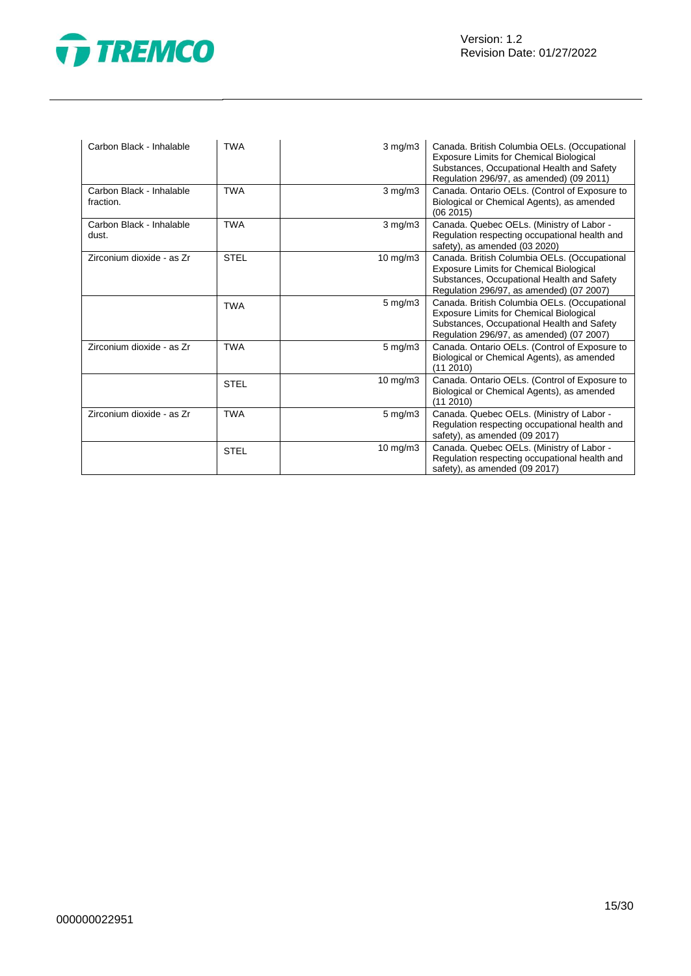



| Carbon Black - Inhalable              | <b>TWA</b>  | $3 \text{ mg/m}$   | Canada. British Columbia OELs. (Occupational<br><b>Exposure Limits for Chemical Biological</b><br>Substances, Occupational Health and Safety<br>Regulation 296/97, as amended) (09 2011) |
|---------------------------------------|-------------|--------------------|------------------------------------------------------------------------------------------------------------------------------------------------------------------------------------------|
| Carbon Black - Inhalable<br>fraction. | <b>TWA</b>  | $3$ mg/m $3$       | Canada. Ontario OELs. (Control of Exposure to<br>Biological or Chemical Agents), as amended<br>(062015)                                                                                  |
| Carbon Black - Inhalable<br>dust.     | <b>TWA</b>  | $3 \text{ mg/m}$   | Canada. Quebec OELs. (Ministry of Labor -<br>Regulation respecting occupational health and<br>safety), as amended (03 2020)                                                              |
| Zirconium dioxide - as Zr             | <b>STEL</b> | 10 mg/m $3$        | Canada. British Columbia OELs. (Occupational<br><b>Exposure Limits for Chemical Biological</b><br>Substances, Occupational Health and Safety<br>Regulation 296/97, as amended) (07 2007) |
|                                       | <b>TWA</b>  | $5 \text{ mg/m}$ 3 | Canada. British Columbia OELs. (Occupational<br>Exposure Limits for Chemical Biological<br>Substances, Occupational Health and Safety<br>Regulation 296/97, as amended) (07 2007)        |
| Zirconium dioxide - as Zr             | <b>TWA</b>  | $5 \text{ mg/m}$ 3 | Canada. Ontario OELs. (Control of Exposure to<br>Biological or Chemical Agents), as amended<br>(11 2010)                                                                                 |
|                                       | <b>STEL</b> | 10 mg/m3           | Canada. Ontario OELs. (Control of Exposure to<br>Biological or Chemical Agents), as amended<br>(112010)                                                                                  |
| Zirconium dioxide - as Zr             | <b>TWA</b>  | $5 \text{ mg/m}$   | Canada. Quebec OELs. (Ministry of Labor -<br>Regulation respecting occupational health and<br>safety), as amended (09 2017)                                                              |
|                                       | <b>STEL</b> | 10 mg/m3           | Canada. Quebec OELs. (Ministry of Labor -<br>Regulation respecting occupational health and<br>safety), as amended (09 2017)                                                              |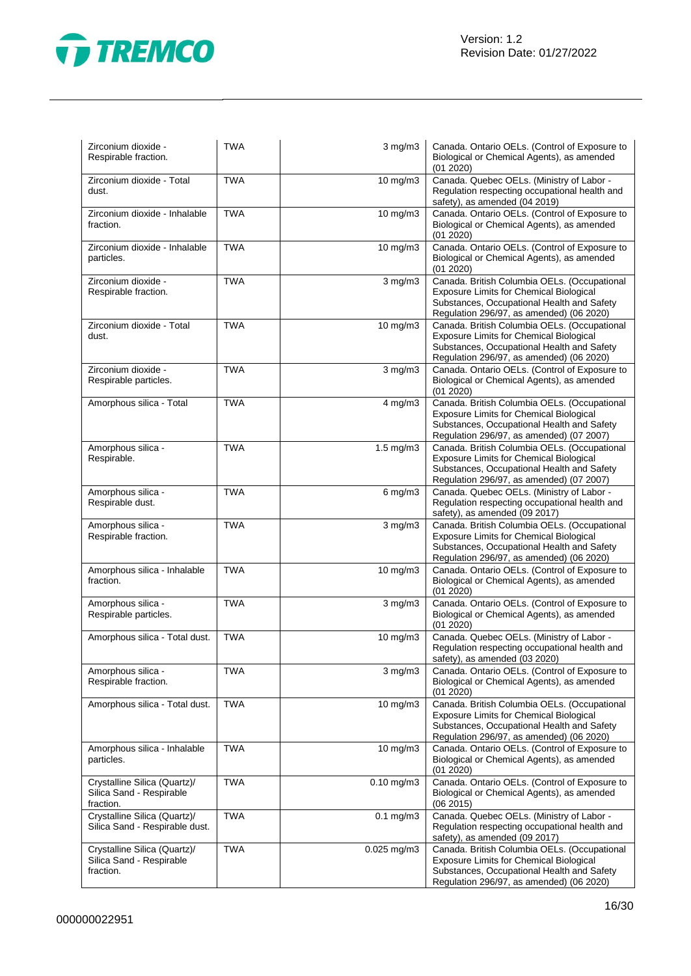

| Zirconium dioxide -<br>Respirable fraction.                           | <b>TWA</b> | $3$ mg/m $3$      | Canada. Ontario OELs. (Control of Exposure to<br>Biological or Chemical Agents), as amended<br>(01 2020)                                                                                 |
|-----------------------------------------------------------------------|------------|-------------------|------------------------------------------------------------------------------------------------------------------------------------------------------------------------------------------|
| Zirconium dioxide - Total<br>dust.                                    | <b>TWA</b> | 10 mg/m3          | Canada. Quebec OELs. (Ministry of Labor -<br>Regulation respecting occupational health and<br>safety), as amended (04 2019)                                                              |
| Zirconium dioxide - Inhalable<br>fraction.                            | <b>TWA</b> | 10 mg/m3          | Canada. Ontario OELs. (Control of Exposure to<br>Biological or Chemical Agents), as amended<br>(01 2020)                                                                                 |
| Zirconium dioxide - Inhalable<br>particles.                           | <b>TWA</b> | 10 mg/m3          | Canada. Ontario OELs. (Control of Exposure to<br>Biological or Chemical Agents), as amended<br>(01 2020)                                                                                 |
| Zirconium dioxide -<br>Respirable fraction.                           | <b>TWA</b> | $3$ mg/m $3$      | Canada. British Columbia OELs. (Occupational<br><b>Exposure Limits for Chemical Biological</b><br>Substances, Occupational Health and Safety<br>Regulation 296/97, as amended) (06 2020) |
| Zirconium dioxide - Total<br>dust.                                    | <b>TWA</b> | 10 mg/m3          | Canada. British Columbia OELs. (Occupational<br><b>Exposure Limits for Chemical Biological</b><br>Substances, Occupational Health and Safety<br>Regulation 296/97, as amended) (06 2020) |
| Zirconium dioxide -<br>Respirable particles.                          | <b>TWA</b> | $3$ mg/m $3$      | Canada. Ontario OELs. (Control of Exposure to<br>Biological or Chemical Agents), as amended<br>(01 2020)                                                                                 |
| Amorphous silica - Total                                              | <b>TWA</b> | $4$ mg/m $3$      | Canada. British Columbia OELs. (Occupational<br><b>Exposure Limits for Chemical Biological</b><br>Substances, Occupational Health and Safety<br>Regulation 296/97, as amended) (07 2007) |
| Amorphous silica -<br>Respirable.                                     | <b>TWA</b> | 1.5 mg/m3         | Canada. British Columbia OELs. (Occupational<br><b>Exposure Limits for Chemical Biological</b><br>Substances, Occupational Health and Safety<br>Regulation 296/97, as amended) (07 2007) |
| Amorphous silica -<br>Respirable dust.                                | <b>TWA</b> | $6$ mg/m $3$      | Canada. Quebec OELs. (Ministry of Labor -<br>Regulation respecting occupational health and<br>safety), as amended (09 2017)                                                              |
| Amorphous silica -<br>Respirable fraction.                            | <b>TWA</b> | $3$ mg/m $3$      | Canada. British Columbia OELs. (Occupational<br><b>Exposure Limits for Chemical Biological</b><br>Substances, Occupational Health and Safety<br>Regulation 296/97, as amended) (06 2020) |
| Amorphous silica - Inhalable<br>fraction.                             | <b>TWA</b> | 10 mg/m3          | Canada. Ontario OELs. (Control of Exposure to<br>Biological or Chemical Agents), as amended<br>(01 2020)                                                                                 |
| Amorphous silica -<br>Respirable particles.                           | <b>TWA</b> | $3$ mg/m $3$      | Canada. Ontario OELs. (Control of Exposure to<br>Biological or Chemical Agents), as amended<br>(01 2020)                                                                                 |
| Amorphous silica - Total dust.                                        | <b>TWA</b> | 10 mg/m3          | Canada. Quebec OELs. (Ministry of Labor -<br>Regulation respecting occupational health and<br>safety), as amended (03 2020)                                                              |
| Amorphous silica -<br>Respirable fraction.                            | <b>TWA</b> | $3$ mg/m $3$      | Canada. Ontario OELs. (Control of Exposure to<br>Biological or Chemical Agents), as amended<br>(01 2020)                                                                                 |
| Amorphous silica - Total dust.                                        | <b>TWA</b> | $10 \text{ mg/m}$ | Canada. British Columbia OELs. (Occupational<br>Exposure Limits for Chemical Biological<br>Substances, Occupational Health and Safety<br>Regulation 296/97, as amended) (06 2020)        |
| Amorphous silica - Inhalable<br>particles.                            | <b>TWA</b> | 10 mg/m3          | Canada. Ontario OELs. (Control of Exposure to<br>Biological or Chemical Agents), as amended<br>(01 2020)                                                                                 |
| Crystalline Silica (Quartz)/<br>Silica Sand - Respirable<br>fraction. | <b>TWA</b> | $0.10$ mg/m $3$   | Canada. Ontario OELs. (Control of Exposure to<br>Biological or Chemical Agents), as amended<br>(06 2015)                                                                                 |
| Crystalline Silica (Quartz)/<br>Silica Sand - Respirable dust.        | <b>TWA</b> | $0.1$ mg/m $3$    | Canada. Quebec OELs. (Ministry of Labor -<br>Regulation respecting occupational health and<br>safety), as amended (09 2017)                                                              |
| Crystalline Silica (Quartz)/<br>Silica Sand - Respirable<br>fraction. | <b>TWA</b> | 0.025 mg/m3       | Canada. British Columbia OELs. (Occupational<br><b>Exposure Limits for Chemical Biological</b><br>Substances, Occupational Health and Safety<br>Regulation 296/97, as amended) (06 2020) |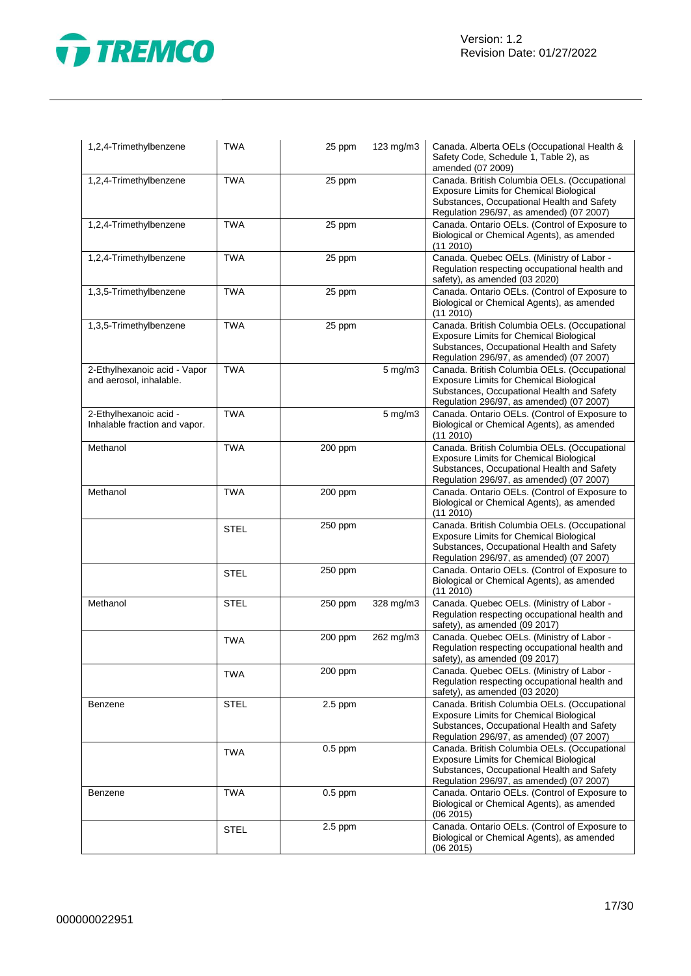

| 1,2,4-Trimethylbenzene                                  | <b>TWA</b>  | 25 ppm    | 123 mg/m3    | Canada. Alberta OELs (Occupational Health &<br>Safety Code, Schedule 1, Table 2), as<br>amended (07 2009)                                                                                |
|---------------------------------------------------------|-------------|-----------|--------------|------------------------------------------------------------------------------------------------------------------------------------------------------------------------------------------|
| 1,2,4-Trimethylbenzene                                  | <b>TWA</b>  | 25 ppm    |              | Canada. British Columbia OELs. (Occupational<br>Exposure Limits for Chemical Biological<br>Substances, Occupational Health and Safety<br>Regulation 296/97, as amended) (07 2007)        |
| 1,2,4-Trimethylbenzene                                  | <b>TWA</b>  | 25 ppm    |              | Canada. Ontario OELs. (Control of Exposure to<br>Biological or Chemical Agents), as amended<br>(11 2010)                                                                                 |
| 1,2,4-Trimethylbenzene                                  | <b>TWA</b>  | 25 ppm    |              | Canada. Quebec OELs. (Ministry of Labor -<br>Regulation respecting occupational health and<br>safety), as amended (03 2020)                                                              |
| 1,3,5-Trimethylbenzene                                  | <b>TWA</b>  | 25 ppm    |              | Canada. Ontario OELs. (Control of Exposure to<br>Biological or Chemical Agents), as amended<br>(11 2010)                                                                                 |
| 1,3,5-Trimethylbenzene                                  | <b>TWA</b>  | 25 ppm    |              | Canada. British Columbia OELs. (Occupational<br>Exposure Limits for Chemical Biological<br>Substances, Occupational Health and Safety<br>Regulation 296/97, as amended) (07 2007)        |
| 2-Ethylhexanoic acid - Vapor<br>and aerosol, inhalable. | <b>TWA</b>  |           | $5$ mg/m $3$ | Canada. British Columbia OELs. (Occupational<br><b>Exposure Limits for Chemical Biological</b><br>Substances, Occupational Health and Safety<br>Regulation 296/97, as amended) (07 2007) |
| 2-Ethylhexanoic acid -<br>Inhalable fraction and vapor. | <b>TWA</b>  |           | $5$ mg/m $3$ | Canada. Ontario OELs. (Control of Exposure to<br>Biological or Chemical Agents), as amended<br>(11 2010)                                                                                 |
| Methanol                                                | <b>TWA</b>  | 200 ppm   |              | Canada. British Columbia OELs. (Occupational<br>Exposure Limits for Chemical Biological<br>Substances, Occupational Health and Safety<br>Regulation 296/97, as amended) (07 2007)        |
| Methanol                                                | <b>TWA</b>  | 200 ppm   |              | Canada. Ontario OELs. (Control of Exposure to<br>Biological or Chemical Agents), as amended<br>(11 2010)                                                                                 |
|                                                         | <b>STEL</b> | 250 ppm   |              | Canada. British Columbia OELs. (Occupational<br>Exposure Limits for Chemical Biological<br>Substances, Occupational Health and Safety<br>Regulation 296/97, as amended) (07 2007)        |
|                                                         | <b>STEL</b> | 250 ppm   |              | Canada. Ontario OELs. (Control of Exposure to<br>Biological or Chemical Agents), as amended<br>(11 2010)                                                                                 |
| Methanol                                                | <b>STEL</b> | 250 ppm   | 328 mg/m3    | Canada. Quebec OELs. (Ministry of Labor -<br>Regulation respecting occupational health and<br>safety), as amended (09 2017)                                                              |
|                                                         | <b>TWA</b>  | 200 ppm   | 262 mg/m3    | Canada. Quebec OELs. (Ministry of Labor -<br>Regulation respecting occupational health and<br>safety), as amended (09 2017)                                                              |
|                                                         | <b>TWA</b>  | 200 ppm   |              | Canada. Quebec OELs. (Ministry of Labor -<br>Regulation respecting occupational health and<br>safety), as amended (03 2020)                                                              |
| Benzene                                                 | <b>STEL</b> | $2.5$ ppm |              | Canada. British Columbia OELs. (Occupational<br><b>Exposure Limits for Chemical Biological</b><br>Substances, Occupational Health and Safety<br>Regulation 296/97, as amended) (07 2007) |
|                                                         | <b>TWA</b>  | $0.5$ ppm |              | Canada. British Columbia OELs. (Occupational<br><b>Exposure Limits for Chemical Biological</b><br>Substances, Occupational Health and Safety<br>Regulation 296/97, as amended) (07 2007) |
| Benzene                                                 | <b>TWA</b>  | $0.5$ ppm |              | Canada. Ontario OELs. (Control of Exposure to<br>Biological or Chemical Agents), as amended<br>(06 2015)                                                                                 |
|                                                         | <b>STEL</b> | $2.5$ ppm |              | Canada. Ontario OELs. (Control of Exposure to<br>Biological or Chemical Agents), as amended<br>(06 2015)                                                                                 |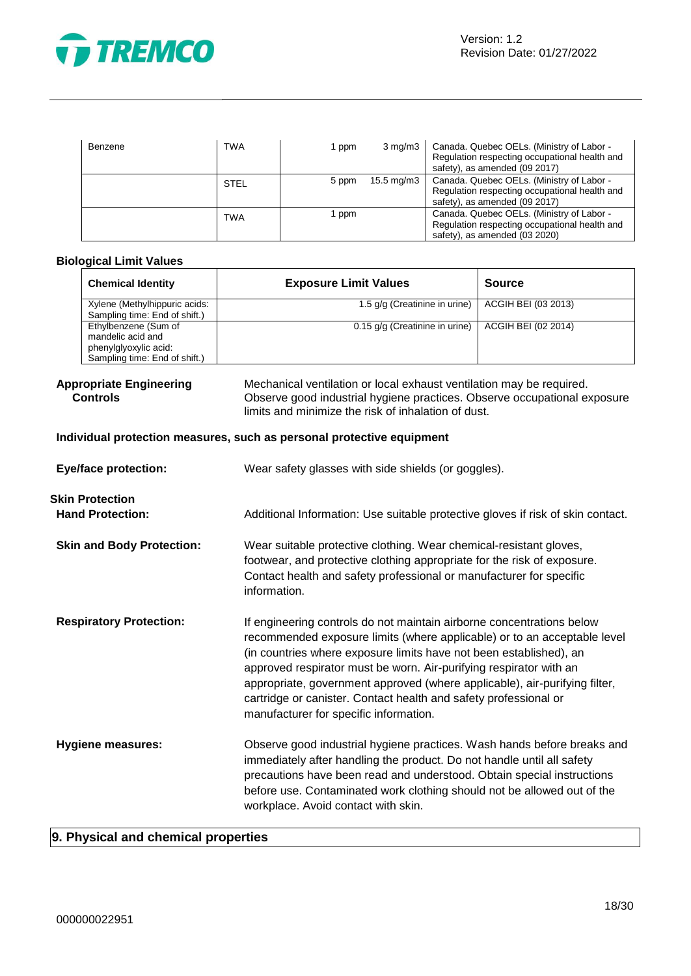

| Benzene | <b>TWA</b>  | 1 ppm | $3 \text{ mg/m}$      | Canada. Quebec OELs. (Ministry of Labor -<br>Regulation respecting occupational health and<br>safety), as amended (09 2017) |
|---------|-------------|-------|-----------------------|-----------------------------------------------------------------------------------------------------------------------------|
|         | <b>STEL</b> | 5 ppm | $15.5 \text{ mg/m}$ 3 | Canada. Quebec OELs. (Ministry of Labor -<br>Regulation respecting occupational health and<br>safety), as amended (09 2017) |
|         | <b>TWA</b>  | 1 ppm |                       | Canada. Quebec OELs. (Ministry of Labor -<br>Regulation respecting occupational health and<br>safety), as amended (03 2020) |

# **Biological Limit Values**

| <b>Chemical Identity</b>                                                                            | <b>Exposure Limit Values</b>   | <b>Source</b>       |
|-----------------------------------------------------------------------------------------------------|--------------------------------|---------------------|
| Xylene (Methylhippuric acids:<br>Sampling time: End of shift.)                                      | 1.5 g/g (Creatinine in urine)  | ACGIH BEI (03 2013) |
| Ethylbenzene (Sum of<br>mandelic acid and<br>phenylglyoxylic acid:<br>Sampling time: End of shift.) | 0.15 g/g (Creatinine in urine) | ACGIH BEI (02 2014) |

#### **Appropriate Engineering Controls**

Mechanical ventilation or local exhaust ventilation may be required. Observe good industrial hygiene practices. Observe occupational exposure limits and minimize the risk of inhalation of dust.

# **Individual protection measures, such as personal protective equipment**

| <b>Eye/face protection:</b>                       | Wear safety glasses with side shields (or goggles).                                                                                                                                                                                                                                                                                                                                                                                                                                       |
|---------------------------------------------------|-------------------------------------------------------------------------------------------------------------------------------------------------------------------------------------------------------------------------------------------------------------------------------------------------------------------------------------------------------------------------------------------------------------------------------------------------------------------------------------------|
| <b>Skin Protection</b><br><b>Hand Protection:</b> | Additional Information: Use suitable protective gloves if risk of skin contact.                                                                                                                                                                                                                                                                                                                                                                                                           |
| <b>Skin and Body Protection:</b>                  | Wear suitable protective clothing. Wear chemical-resistant gloves,<br>footwear, and protective clothing appropriate for the risk of exposure.<br>Contact health and safety professional or manufacturer for specific<br>information.                                                                                                                                                                                                                                                      |
| <b>Respiratory Protection:</b>                    | If engineering controls do not maintain airborne concentrations below<br>recommended exposure limits (where applicable) or to an acceptable level<br>(in countries where exposure limits have not been established), an<br>approved respirator must be worn. Air-purifying respirator with an<br>appropriate, government approved (where applicable), air-purifying filter,<br>cartridge or canister. Contact health and safety professional or<br>manufacturer for specific information. |
| <b>Hygiene measures:</b>                          | Observe good industrial hygiene practices. Wash hands before breaks and<br>immediately after handling the product. Do not handle until all safety<br>precautions have been read and understood. Obtain special instructions<br>before use. Contaminated work clothing should not be allowed out of the<br>workplace. Avoid contact with skin.                                                                                                                                             |

# **9. Physical and chemical properties**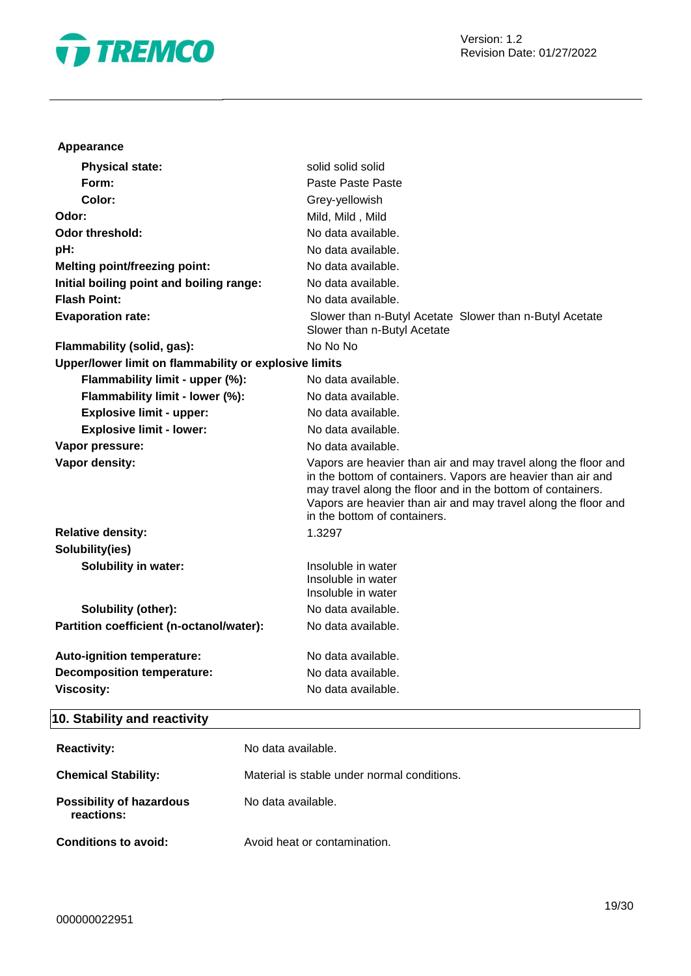

# **Appearance**

| <b>Physical state:</b>                                | solid solid solid                                                                                                                                                                                                                                                                               |
|-------------------------------------------------------|-------------------------------------------------------------------------------------------------------------------------------------------------------------------------------------------------------------------------------------------------------------------------------------------------|
| Form:                                                 | Paste Paste Paste                                                                                                                                                                                                                                                                               |
| Color:                                                | Grey-yellowish                                                                                                                                                                                                                                                                                  |
| Odor:                                                 | Mild, Mild, Mild                                                                                                                                                                                                                                                                                |
| Odor threshold:                                       | No data available.                                                                                                                                                                                                                                                                              |
| pH:                                                   | No data available.                                                                                                                                                                                                                                                                              |
| <b>Melting point/freezing point:</b>                  | No data available.                                                                                                                                                                                                                                                                              |
| Initial boiling point and boiling range:              | No data available.                                                                                                                                                                                                                                                                              |
| <b>Flash Point:</b>                                   | No data available.                                                                                                                                                                                                                                                                              |
| <b>Evaporation rate:</b>                              | Slower than n-Butyl Acetate Slower than n-Butyl Acetate<br>Slower than n-Butyl Acetate                                                                                                                                                                                                          |
| Flammability (solid, gas):                            | No No No                                                                                                                                                                                                                                                                                        |
| Upper/lower limit on flammability or explosive limits |                                                                                                                                                                                                                                                                                                 |
| Flammability limit - upper (%):                       | No data available.                                                                                                                                                                                                                                                                              |
| Flammability limit - lower (%):                       | No data available.                                                                                                                                                                                                                                                                              |
| <b>Explosive limit - upper:</b>                       | No data available.                                                                                                                                                                                                                                                                              |
| <b>Explosive limit - lower:</b>                       | No data available.                                                                                                                                                                                                                                                                              |
| Vapor pressure:                                       | No data available.                                                                                                                                                                                                                                                                              |
| Vapor density:                                        | Vapors are heavier than air and may travel along the floor and<br>in the bottom of containers. Vapors are heavier than air and<br>may travel along the floor and in the bottom of containers.<br>Vapors are heavier than air and may travel along the floor and<br>in the bottom of containers. |
| <b>Relative density:</b>                              | 1.3297                                                                                                                                                                                                                                                                                          |
| Solubility(ies)                                       |                                                                                                                                                                                                                                                                                                 |
| <b>Solubility in water:</b>                           | Insoluble in water<br>Insoluble in water<br>Insoluble in water                                                                                                                                                                                                                                  |
| Solubility (other):                                   | No data available.                                                                                                                                                                                                                                                                              |
| Partition coefficient (n-octanol/water):              | No data available.                                                                                                                                                                                                                                                                              |
| Auto-ignition temperature:                            | No data available.                                                                                                                                                                                                                                                                              |
| <b>Decomposition temperature:</b>                     | No data available.                                                                                                                                                                                                                                                                              |
| <b>Viscosity:</b>                                     | No data available.                                                                                                                                                                                                                                                                              |
|                                                       |                                                                                                                                                                                                                                                                                                 |

# **10. Stability and reactivity**

| <b>Reactivity:</b>                            | No data available.                          |
|-----------------------------------------------|---------------------------------------------|
| <b>Chemical Stability:</b>                    | Material is stable under normal conditions. |
| <b>Possibility of hazardous</b><br>reactions: | No data available.                          |
| <b>Conditions to avoid:</b>                   | Avoid heat or contamination.                |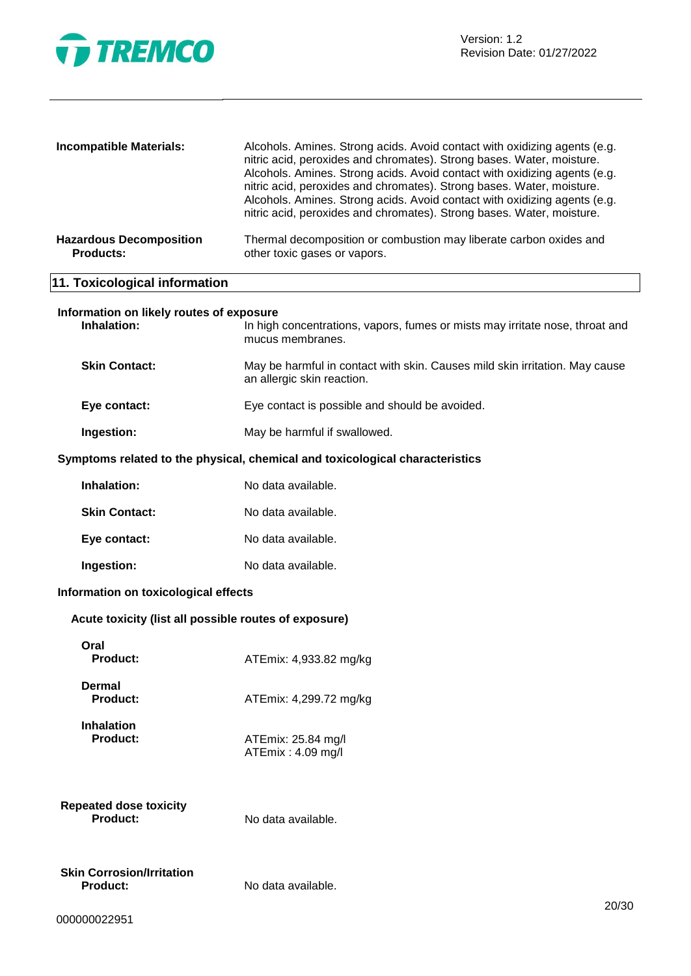

| <b>Incompatible Materials:</b>                     | Alcohols. Amines. Strong acids. Avoid contact with oxidizing agents (e.g.<br>nitric acid, peroxides and chromates). Strong bases. Water, moisture.<br>Alcohols. Amines. Strong acids. Avoid contact with oxidizing agents (e.g.<br>nitric acid, peroxides and chromates). Strong bases. Water, moisture.<br>Alcohols. Amines. Strong acids. Avoid contact with oxidizing agents (e.g.<br>nitric acid, peroxides and chromates). Strong bases. Water, moisture. |
|----------------------------------------------------|----------------------------------------------------------------------------------------------------------------------------------------------------------------------------------------------------------------------------------------------------------------------------------------------------------------------------------------------------------------------------------------------------------------------------------------------------------------|
| <b>Hazardous Decomposition</b><br><b>Products:</b> | Thermal decomposition or combustion may liberate carbon oxides and<br>other toxic gases or vapors.                                                                                                                                                                                                                                                                                                                                                             |
| 11. Toxicological information                      |                                                                                                                                                                                                                                                                                                                                                                                                                                                                |

# **Information on likely routes of exposure**

| Inhalation:          | In high concentrations, vapors, fumes or mists may irritate nose, throat and<br>mucus membranes.          |
|----------------------|-----------------------------------------------------------------------------------------------------------|
| <b>Skin Contact:</b> | May be harmful in contact with skin. Causes mild skin irritation. May cause<br>an allergic skin reaction. |
| Eye contact:         | Eye contact is possible and should be avoided.                                                            |

# **Ingestion:** May be harmful if swallowed.

# **Symptoms related to the physical, chemical and toxicological characteristics**

| Inhalation:          | No data available. |
|----------------------|--------------------|
| <b>Skin Contact:</b> | No data available. |
| Eye contact:         | No data available. |
| Ingestion:           | No data available. |

# **Information on toxicological effects**

# **Acute toxicity (list all possible routes of exposure)**

| Oral<br>Product:                             | ATEmix: 4,933.82 mg/kg                  |
|----------------------------------------------|-----------------------------------------|
| Dermal<br>Product:                           | ATEmix: 4,299.72 mg/kg                  |
| <b>Inhalation</b><br><b>Product:</b>         | ATEmix: 25.84 mg/l<br>ATEmix: 4.09 mg/l |
| Repeated dose toxicity<br>Product:           | No data available.                      |
| Skin Corrosion/Irritation<br><b>Product:</b> | No data available.                      |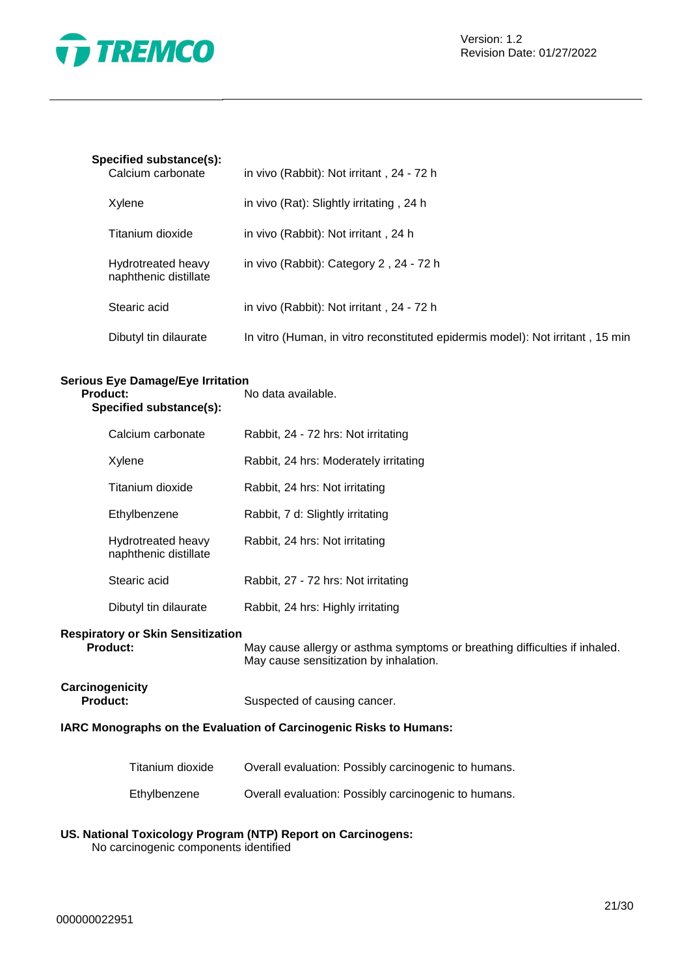

# **Specified substance(s):**

| Calcium carbonate                           | in vivo (Rabbit): Not irritant, 24 - 72 h                                      |
|---------------------------------------------|--------------------------------------------------------------------------------|
| Xylene                                      | in vivo (Rat): Slightly irritating, 24 h                                       |
| Titanium dioxide                            | in vivo (Rabbit): Not irritant, 24 h                                           |
| Hydrotreated heavy<br>naphthenic distillate | in vivo (Rabbit): Category 2, 24 - 72 h                                        |
| Stearic acid                                | in vivo (Rabbit): Not irritant, 24 - 72 h                                      |
| Dibutyl tin dilaurate                       | In vitro (Human, in vitro reconstituted epidermis model): Not irritant, 15 min |

#### **Serious Eye Damage/Eye Irritation Product:** No data available.

| Specified substance(s):                          |                                             |                                                                                                                      |
|--------------------------------------------------|---------------------------------------------|----------------------------------------------------------------------------------------------------------------------|
|                                                  | Calcium carbonate                           | Rabbit, 24 - 72 hrs: Not irritating                                                                                  |
|                                                  | Xylene                                      | Rabbit, 24 hrs: Moderately irritating                                                                                |
|                                                  | Titanium dioxide                            | Rabbit, 24 hrs: Not irritating                                                                                       |
|                                                  | Ethylbenzene                                | Rabbit, 7 d: Slightly irritating                                                                                     |
|                                                  | Hydrotreated heavy<br>naphthenic distillate | Rabbit, 24 hrs: Not irritating                                                                                       |
|                                                  | Stearic acid                                | Rabbit, 27 - 72 hrs: Not irritating                                                                                  |
|                                                  | Dibutyl tin dilaurate                       | Rabbit, 24 hrs: Highly irritating                                                                                    |
| iratory or Skin Sensitization<br><b>Product:</b> |                                             | May cause allergy or asthma symptoms or breathing difficulties if inhaled.<br>May cause sensitization by inhalation. |

# **Respi**

iay cause sensitization by inhalatic

# **Carcinogenicity**

Suspected of causing cancer.

# **IARC Monographs on the Evaluation of Carcinogenic Risks to Humans:**

| Titanium dioxide | Overall evaluation: Possibly carcinogenic to humans. |
|------------------|------------------------------------------------------|
| Ethylbenzene     | Overall evaluation: Possibly carcinogenic to humans. |

# **US. National Toxicology Program (NTP) Report on Carcinogens:**

No carcinogenic components identified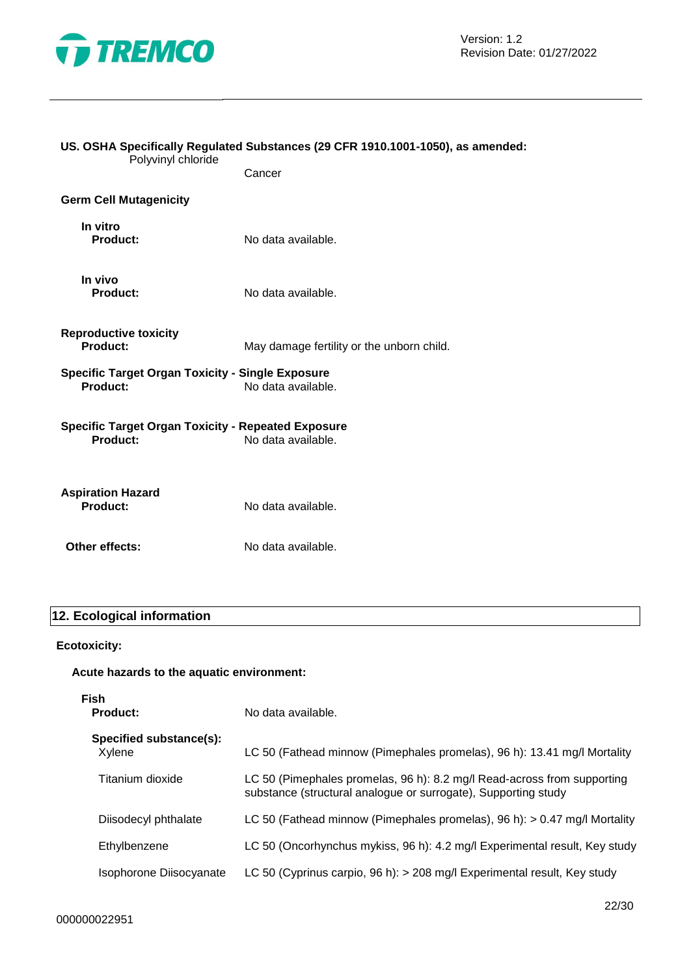

| US. OSHA Specifically Regulated Substances (29 CFR 1910.1001-1050), as amended:<br>Polyvinyl chloride |                                           |  |
|-------------------------------------------------------------------------------------------------------|-------------------------------------------|--|
|                                                                                                       | Cancer                                    |  |
| <b>Germ Cell Mutagenicity</b>                                                                         |                                           |  |
| In vitro<br>Product:                                                                                  | No data available.                        |  |
| In vivo<br>Product:                                                                                   | No data available.                        |  |
| <b>Reproductive toxicity</b><br>Product:                                                              | May damage fertility or the unborn child. |  |
| <b>Specific Target Organ Toxicity - Single Exposure</b><br>Product:<br>No data available.             |                                           |  |
| <b>Specific Target Organ Toxicity - Repeated Exposure</b><br>Product:                                 | No data available.                        |  |
| <b>Aspiration Hazard</b><br><b>Product:</b>                                                           | No data available.                        |  |
| Other effects:                                                                                        | No data available.                        |  |

# **12. Ecological information**

# **Ecotoxicity:**

# **Acute hazards to the aquatic environment:**

| Fish<br>Product:                  | No data available.                                                                                                                        |  |
|-----------------------------------|-------------------------------------------------------------------------------------------------------------------------------------------|--|
| Specified substance(s):<br>Xylene | LC 50 (Fathead minnow (Pimephales promelas), 96 h): 13.41 mg/l Mortality                                                                  |  |
| Titanium dioxide                  | LC 50 (Pimephales promelas, 96 h): 8.2 mg/l Read-across from supporting<br>substance (structural analogue or surrogate), Supporting study |  |
| Diisodecyl phthalate              | LC 50 (Fathead minnow (Pimephales promelas), 96 h): $> 0.47$ mg/l Mortality                                                               |  |
| Ethylbenzene                      | LC 50 (Oncorhynchus mykiss, 96 h): 4.2 mg/l Experimental result, Key study                                                                |  |
| Isophorone Diisocyanate           | LC 50 (Cyprinus carpio, 96 h): $>$ 208 mg/l Experimental result, Key study                                                                |  |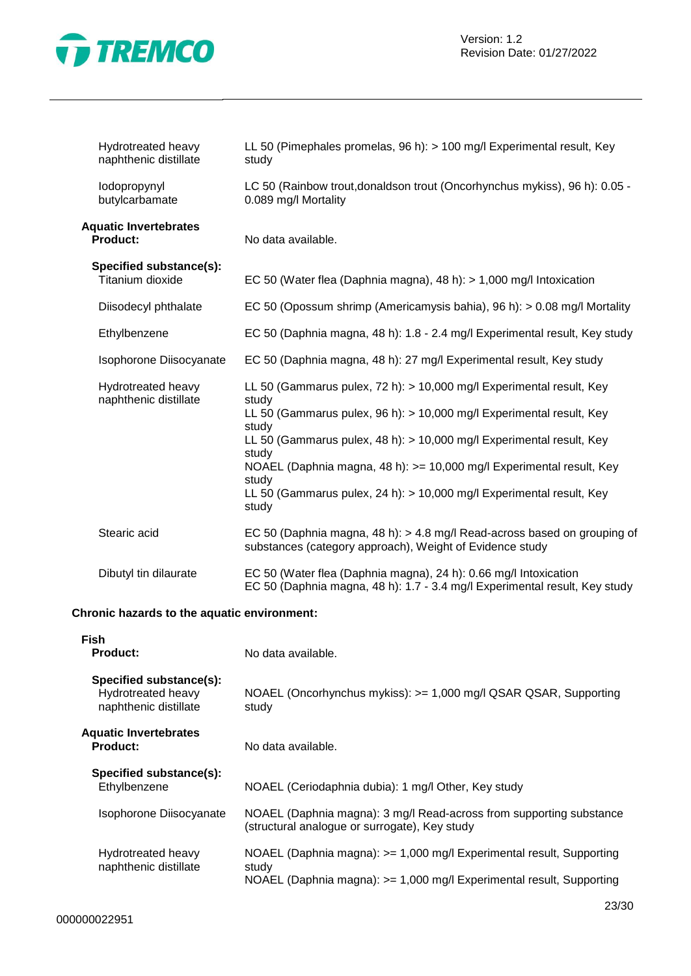

| Hydrotreated heavy<br>naphthenic distillate     | LL 50 (Pimephales promelas, 96 h): > 100 mg/l Experimental result, Key<br>study                                                                                                                                                                                                                                                                                                                                       |
|-------------------------------------------------|-----------------------------------------------------------------------------------------------------------------------------------------------------------------------------------------------------------------------------------------------------------------------------------------------------------------------------------------------------------------------------------------------------------------------|
| lodopropynyl<br>butylcarbamate                  | LC 50 (Rainbow trout, donaldson trout (Oncorhynchus mykiss), 96 h): 0.05 -<br>0.089 mg/l Mortality                                                                                                                                                                                                                                                                                                                    |
| <b>Aquatic Invertebrates</b><br><b>Product:</b> | No data available.                                                                                                                                                                                                                                                                                                                                                                                                    |
| Specified substance(s):<br>Titanium dioxide     | EC 50 (Water flea (Daphnia magna), 48 h): > 1,000 mg/l Intoxication                                                                                                                                                                                                                                                                                                                                                   |
| Diisodecyl phthalate                            | EC 50 (Opossum shrimp (Americamysis bahia), 96 h): $> 0.08$ mg/l Mortality                                                                                                                                                                                                                                                                                                                                            |
| Ethylbenzene                                    | EC 50 (Daphnia magna, 48 h): 1.8 - 2.4 mg/l Experimental result, Key study                                                                                                                                                                                                                                                                                                                                            |
| Isophorone Diisocyanate                         | EC 50 (Daphnia magna, 48 h): 27 mg/l Experimental result, Key study                                                                                                                                                                                                                                                                                                                                                   |
| Hydrotreated heavy<br>naphthenic distillate     | LL 50 (Gammarus pulex, 72 h): > 10,000 mg/l Experimental result, Key<br>study<br>LL 50 (Gammarus pulex, 96 h): > 10,000 mg/l Experimental result, Key<br>study<br>LL 50 (Gammarus pulex, 48 h): $> 10,000$ mg/l Experimental result, Key<br>study<br>NOAEL (Daphnia magna, 48 h): >= 10,000 mg/l Experimental result, Key<br>study<br>LL 50 (Gammarus pulex, 24 h): $> 10,000$ mg/l Experimental result, Key<br>study |
| Stearic acid                                    | EC 50 (Daphnia magna, 48 h): > 4.8 mg/l Read-across based on grouping of<br>substances (category approach), Weight of Evidence study                                                                                                                                                                                                                                                                                  |
| Dibutyl tin dilaurate                           | EC 50 (Water flea (Daphnia magna), 24 h): 0.66 mg/l Intoxication<br>EC 50 (Daphnia magna, 48 h): 1.7 - 3.4 mg/l Experimental result, Key study                                                                                                                                                                                                                                                                        |

# **Chronic hazards to the aquatic environment:**

| <b>Fish</b><br><b>Product:</b><br>No data available.                   |                                                                                                                                                       |  |  |
|------------------------------------------------------------------------|-------------------------------------------------------------------------------------------------------------------------------------------------------|--|--|
| Specified substance(s):<br>Hydrotreated heavy<br>naphthenic distillate | NOAEL (Oncorhynchus mykiss): >= 1,000 mg/l QSAR QSAR, Supporting<br>study                                                                             |  |  |
| <b>Aquatic Invertebrates</b><br><b>Product:</b>                        | No data available.                                                                                                                                    |  |  |
| Specified substance(s):<br>Ethylbenzene                                | NOAEL (Ceriodaphnia dubia): 1 mg/l Other, Key study                                                                                                   |  |  |
| Isophorone Diisocyanate                                                | NOAEL (Daphnia magna): 3 mg/l Read-across from supporting substance<br>(structural analogue or surrogate), Key study                                  |  |  |
| Hydrotreated heavy<br>naphthenic distillate                            | NOAEL (Daphnia magna): >= 1,000 mg/l Experimental result, Supporting<br>study<br>NOAEL (Daphnia magna): >= 1,000 mg/l Experimental result, Supporting |  |  |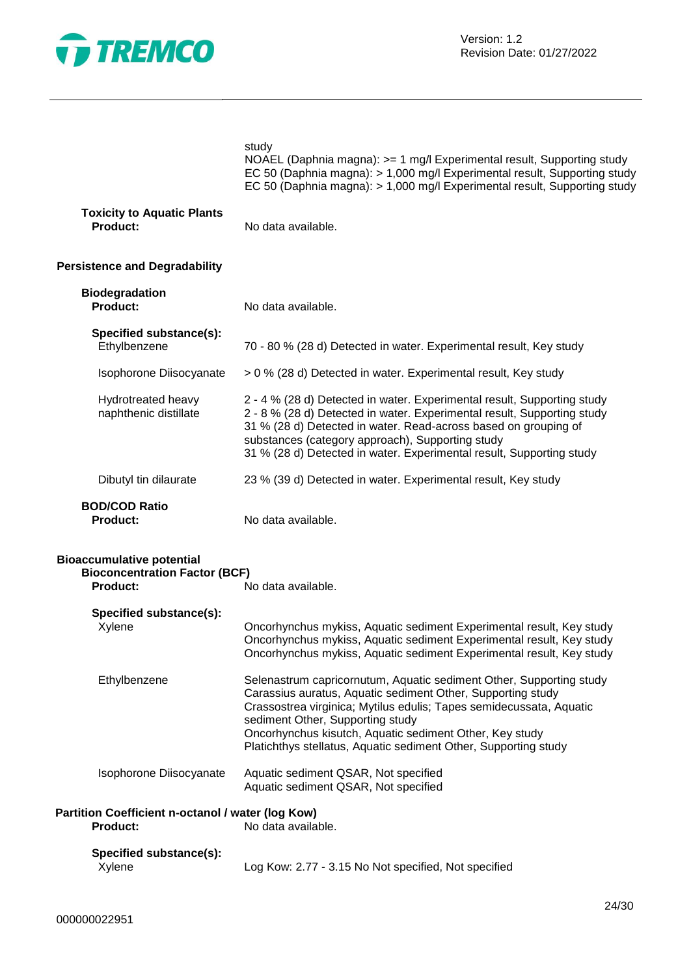

|                                                                                                                   | study<br>NOAEL (Daphnia magna): >= 1 mg/l Experimental result, Supporting study<br>EC 50 (Daphnia magna): > 1,000 mg/l Experimental result, Supporting study<br>EC 50 (Daphnia magna): > 1,000 mg/l Experimental result, Supporting study                                                                                                                                   |  |  |
|-------------------------------------------------------------------------------------------------------------------|-----------------------------------------------------------------------------------------------------------------------------------------------------------------------------------------------------------------------------------------------------------------------------------------------------------------------------------------------------------------------------|--|--|
| <b>Toxicity to Aquatic Plants</b><br><b>Product:</b>                                                              | No data available.                                                                                                                                                                                                                                                                                                                                                          |  |  |
| <b>Persistence and Degradability</b>                                                                              |                                                                                                                                                                                                                                                                                                                                                                             |  |  |
| <b>Biodegradation</b><br><b>Product:</b>                                                                          | No data available.                                                                                                                                                                                                                                                                                                                                                          |  |  |
| Specified substance(s):<br>Ethylbenzene                                                                           | 70 - 80 % (28 d) Detected in water. Experimental result, Key study                                                                                                                                                                                                                                                                                                          |  |  |
| Isophorone Diisocyanate                                                                                           | > 0 % (28 d) Detected in water. Experimental result, Key study                                                                                                                                                                                                                                                                                                              |  |  |
| Hydrotreated heavy<br>naphthenic distillate                                                                       | 2 - 4 % (28 d) Detected in water. Experimental result, Supporting study<br>2 - 8 % (28 d) Detected in water. Experimental result, Supporting study<br>31 % (28 d) Detected in water. Read-across based on grouping of<br>substances (category approach), Supporting study<br>31 % (28 d) Detected in water. Experimental result, Supporting study                           |  |  |
| Dibutyl tin dilaurate                                                                                             | 23 % (39 d) Detected in water. Experimental result, Key study                                                                                                                                                                                                                                                                                                               |  |  |
| <b>BOD/COD Ratio</b><br><b>Product:</b>                                                                           | No data available.                                                                                                                                                                                                                                                                                                                                                          |  |  |
| <b>Bioaccumulative potential</b><br><b>Bioconcentration Factor (BCF)</b><br><b>Product:</b><br>No data available. |                                                                                                                                                                                                                                                                                                                                                                             |  |  |
| Specified substance(s):<br>Xylene                                                                                 | Oncorhynchus mykiss, Aquatic sediment Experimental result, Key study<br>Oncorhynchus mykiss, Aquatic sediment Experimental result, Key study<br>Oncorhynchus mykiss, Aquatic sediment Experimental result, Key study                                                                                                                                                        |  |  |
| Ethylbenzene                                                                                                      | Selenastrum capricornutum, Aquatic sediment Other, Supporting study<br>Carassius auratus, Aquatic sediment Other, Supporting study<br>Crassostrea virginica; Mytilus edulis; Tapes semidecussata, Aquatic<br>sediment Other, Supporting study<br>Oncorhynchus kisutch, Aquatic sediment Other, Key study<br>Platichthys stellatus, Aquatic sediment Other, Supporting study |  |  |
| Isophorone Diisocyanate                                                                                           | Aquatic sediment QSAR, Not specified<br>Aquatic sediment QSAR, Not specified                                                                                                                                                                                                                                                                                                |  |  |
| Partition Coefficient n-octanol / water (log Kow)<br><b>Product:</b>                                              | No data available.                                                                                                                                                                                                                                                                                                                                                          |  |  |
| Specified substance(s):<br>Xylene                                                                                 | Log Kow: 2.77 - 3.15 No Not specified, Not specified                                                                                                                                                                                                                                                                                                                        |  |  |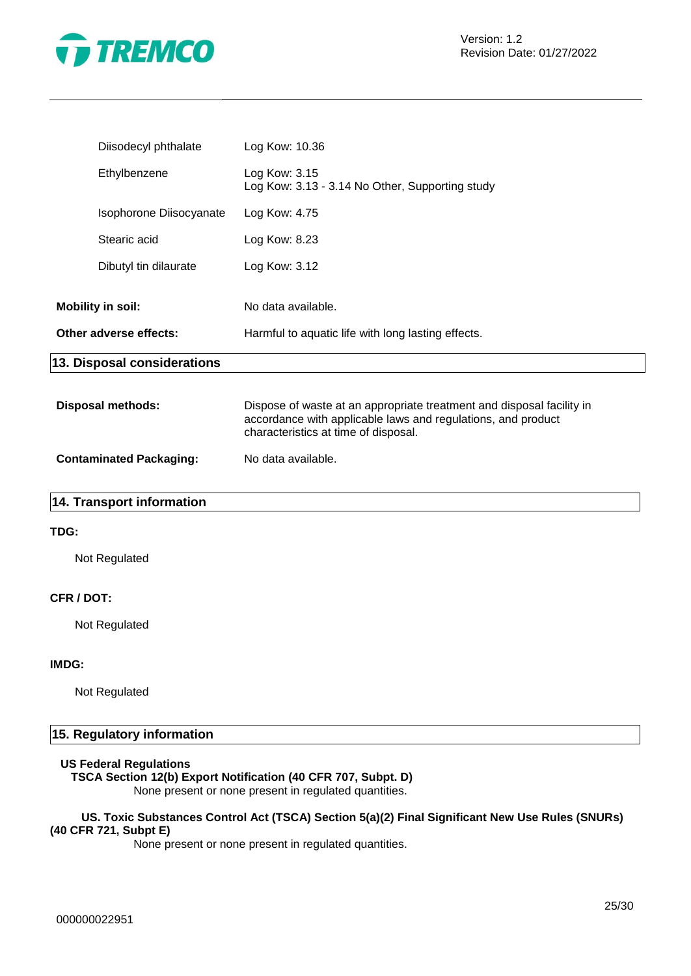

| Diisodecyl phthalate                               | Log Kow: 10.36                                                                                                                                                                |
|----------------------------------------------------|-------------------------------------------------------------------------------------------------------------------------------------------------------------------------------|
| Ethylbenzene                                       | Log Kow: 3.15<br>Log Kow: 3.13 - 3.14 No Other, Supporting study                                                                                                              |
| Isophorone Diisocyanate                            | Log Kow: 4.75                                                                                                                                                                 |
| Stearic acid                                       | Log Kow: 8.23                                                                                                                                                                 |
| Dibutyl tin dilaurate                              | Log Kow: 3.12                                                                                                                                                                 |
| <b>Mobility in soil:</b><br>Other adverse effects: | No data available.<br>Harmful to aquatic life with long lasting effects.                                                                                                      |
| 13. Disposal considerations                        |                                                                                                                                                                               |
| <b>Disposal methods:</b>                           | Dispose of waste at an appropriate treatment and disposal facility in<br>accordance with applicable laws and regulations, and product<br>characteristics at time of disposal. |
| <b>Contaminated Packaging:</b>                     | No data available.                                                                                                                                                            |

# **14. Transport information**

# **TDG:**

Not Regulated

# **CFR / DOT:**

Not Regulated

#### **IMDG:**

Not Regulated

# **15. Regulatory information**

## **US Federal Regulations**

# **TSCA Section 12(b) Export Notification (40 CFR 707, Subpt. D)**

None present or none present in regulated quantities.

### **US. Toxic Substances Control Act (TSCA) Section 5(a)(2) Final Significant New Use Rules (SNURs) (40 CFR 721, Subpt E)**

None present or none present in regulated quantities.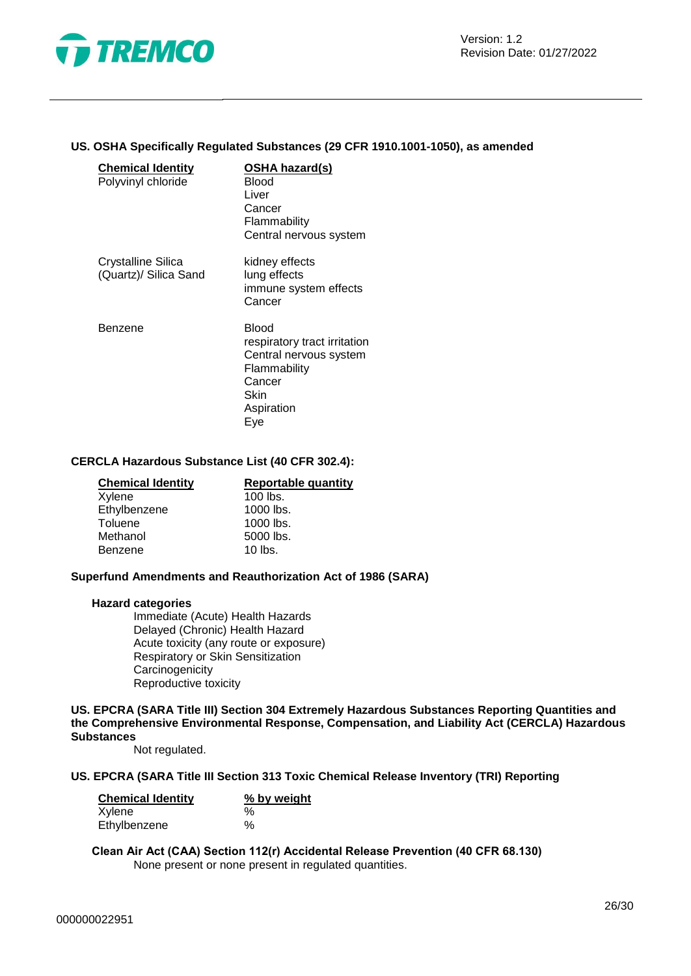

#### **US. OSHA Specifically Regulated Substances (29 CFR 1910.1001-1050), as amended**

| <b>Chemical Identity</b><br>Polyvinyl chloride | OSHA hazard(s)<br>Blood<br>Liver<br>Cancer<br>Flammability<br>Central nervous system                                          |
|------------------------------------------------|-------------------------------------------------------------------------------------------------------------------------------|
| Crystalline Silica<br>(Quartz)/ Silica Sand    | kidney effects<br>lung effects<br>immune system effects<br>Cancer                                                             |
| Benzene                                        | <b>Blood</b><br>respiratory tract irritation<br>Central nervous system<br>Flammability<br>Cancer<br>Skin<br>Aspiration<br>Eye |

#### **CERCLA Hazardous Substance List (40 CFR 302.4):**

| <b>Chemical Identity</b> | Reportable quantity |  |  |
|--------------------------|---------------------|--|--|
| Xylene                   | $100$ lbs.          |  |  |
| Ethylbenzene             | 1000 lbs.           |  |  |
| Toluene                  | 1000 lbs.           |  |  |
| Methanol                 | 5000 lbs.           |  |  |
| Benzene                  | $10$ lbs.           |  |  |

# **Superfund Amendments and Reauthorization Act of 1986 (SARA)**

#### **Hazard categories**

Immediate (Acute) Health Hazards Delayed (Chronic) Health Hazard Acute toxicity (any route or exposure) Respiratory or Skin Sensitization **Carcinogenicity** Reproductive toxicity

**US. EPCRA (SARA Title III) Section 304 Extremely Hazardous Substances Reporting Quantities and the Comprehensive Environmental Response, Compensation, and Liability Act (CERCLA) Hazardous Substances**

Not regulated.

#### **US. EPCRA (SARA Title III Section 313 Toxic Chemical Release Inventory (TRI) Reporting**

| <b>Chemical Identity</b> | % by weight |  |  |
|--------------------------|-------------|--|--|
| Xylene                   | $\%$        |  |  |
| Ethylbenzene             | $\%$        |  |  |

**Clean Air Act (CAA) Section 112(r) Accidental Release Prevention (40 CFR 68.130)** None present or none present in regulated quantities.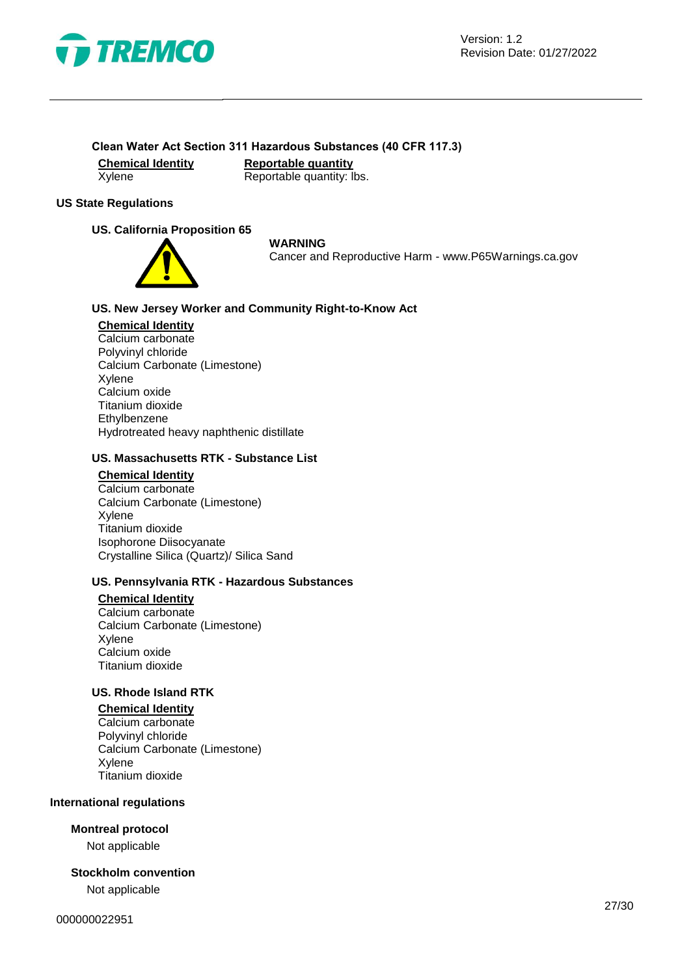

# **Clean Water Act Section 311 Hazardous Substances (40 CFR 117.3)**

**Chemical Identity Reportable quantity** Xylene Reportable quantity: lbs.

# **US State Regulations**

# **US. California Proposition 65**



#### **WARNING**

Cancer and Reproductive Harm - www.P65Warnings.ca.gov

## **US. New Jersey Worker and Community Right-to-Know Act**

#### **Chemical Identity**

Calcium carbonate Polyvinyl chloride Calcium Carbonate (Limestone) Xylene Calcium oxide Titanium dioxide Ethylbenzene Hydrotreated heavy naphthenic distillate

## **US. Massachusetts RTK - Substance List**

# **Chemical Identity**

Calcium carbonate Calcium Carbonate (Limestone) Xylene Titanium dioxide Isophorone Diisocyanate Crystalline Silica (Quartz)/ Silica Sand

#### **US. Pennsylvania RTK - Hazardous Substances**

# **Chemical Identity**

Calcium carbonate Calcium Carbonate (Limestone) Xylene Calcium oxide Titanium dioxide

# **US. Rhode Island RTK**

**Chemical Identity** Calcium carbonate Polyvinyl chloride Calcium Carbonate (Limestone) Xylene Titanium dioxide

#### **International regulations**

#### **Montreal protocol**

Not applicable

# **Stockholm convention**

Not applicable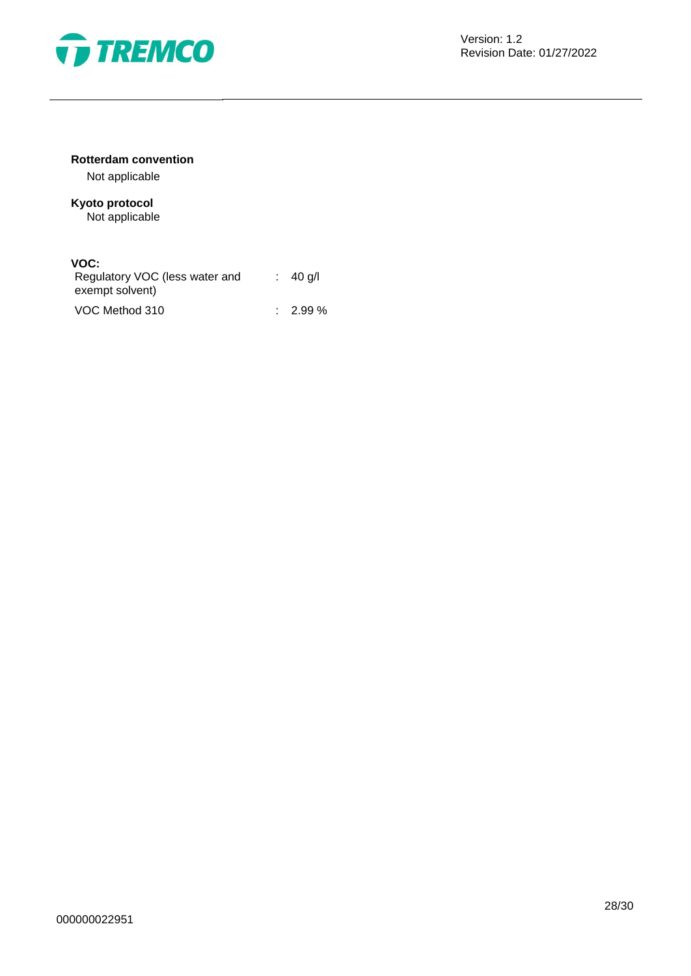

# **Rotterdam convention**

Not applicable

# **Kyoto protocol** Not applicable

# **VOC:**

| Regulatory VOC (less water and<br>exempt solvent) | $\therefore$ 40 g/l |
|---------------------------------------------------|---------------------|
| VOC Method 310                                    | $\therefore$ 2.99 % |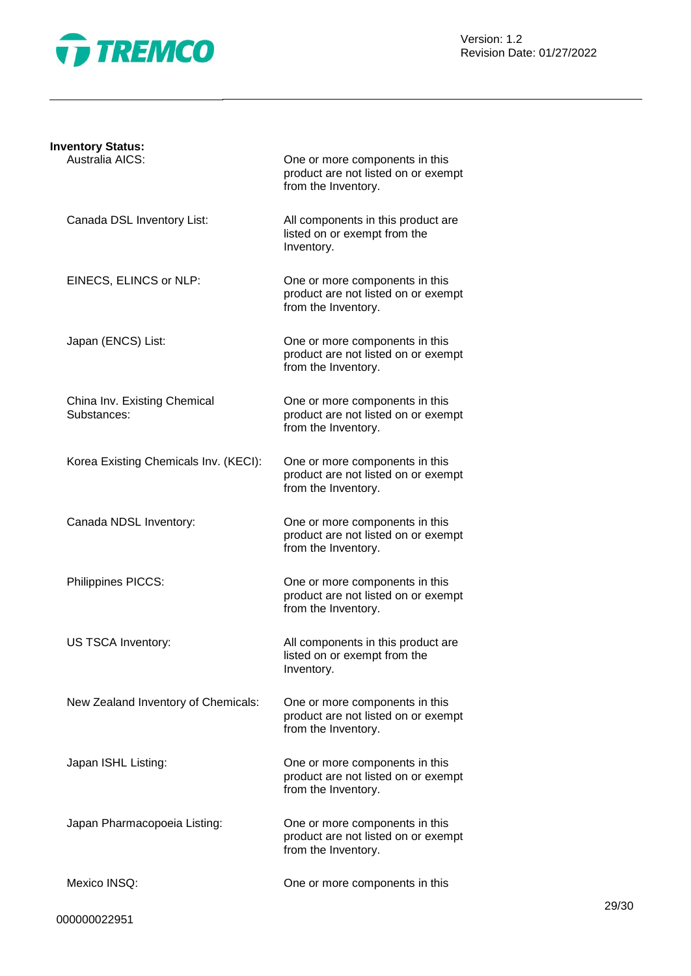

| <b>Inventory Status:</b>                    |                                                                                              |
|---------------------------------------------|----------------------------------------------------------------------------------------------|
| Australia AICS:                             | One or more components in this<br>product are not listed on or exempt<br>from the Inventory. |
| Canada DSL Inventory List:                  | All components in this product are<br>listed on or exempt from the<br>Inventory.             |
| EINECS, ELINCS or NLP:                      | One or more components in this<br>product are not listed on or exempt<br>from the Inventory. |
| Japan (ENCS) List:                          | One or more components in this<br>product are not listed on or exempt<br>from the Inventory. |
| China Inv. Existing Chemical<br>Substances: | One or more components in this<br>product are not listed on or exempt<br>from the Inventory. |
| Korea Existing Chemicals Inv. (KECI):       | One or more components in this<br>product are not listed on or exempt<br>from the Inventory. |
| Canada NDSL Inventory:                      | One or more components in this<br>product are not listed on or exempt<br>from the Inventory. |
| Philippines PICCS:                          | One or more components in this<br>product are not listed on or exempt<br>from the Inventory. |
| US TSCA Inventory:                          | All components in this product are<br>listed on or exempt from the<br>Inventory.             |
| New Zealand Inventory of Chemicals:         | One or more components in this<br>product are not listed on or exempt<br>from the Inventory. |
| Japan ISHL Listing:                         | One or more components in this<br>product are not listed on or exempt<br>from the Inventory. |
| Japan Pharmacopoeia Listing:                | One or more components in this<br>product are not listed on or exempt<br>from the Inventory. |
| Mexico INSQ:                                | One or more components in this                                                               |